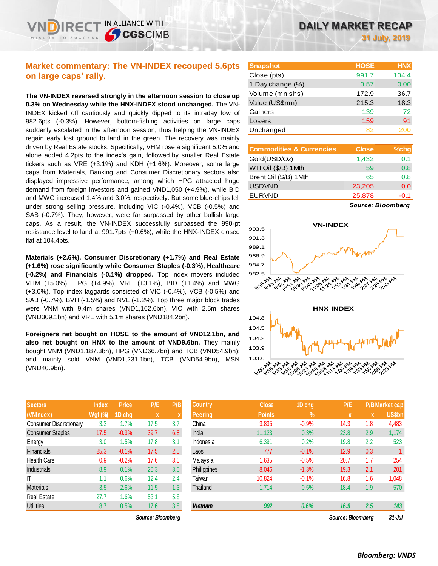## **Market commentary: The VN-INDEX recouped 5.6pts on large caps' rally.**

IN ALLIANCE WITH

**SCGSCIMB** 

**The VN-INDEX reversed strongly in the afternoon session to close up 0.3% on Wednesday while the HNX-INDEX stood unchanged.** The VN-INDEX kicked off cautiously and quickly dipped to its intraday low of 982.6pts (-0.3%). However, bottom-fishing activities on large caps suddenly escalated in the afternoon session, thus helping the VN-INDEX regain early lost ground to land in the green. The recovery was mainly driven by Real Estate stocks. Specifically, VHM rose a significant 5.0% and alone added 4.2pts to the index's gain, followed by smaller Real Estate tickers such as VRE (+3.1%) and KDH (+1.6%). Moreover, some large caps from Materials, Banking and Consumer Discretionary sectors also displayed impressive performance, among which HPG attracted huge demand from foreign investors and gained VND1,050 (+4.9%), while BID and MWG increased 1.4% and 3.0%, respectively. But some blue-chips fell under strong selling pressure, including VIC (-0.4%), VCB (-0.5%) and SAB (-0.7%). They, however, were far surpassed by other bullish large caps. As a result, the VN-INDEX successfully surpassed the 990-pt resistance level to land at 991.7pts (+0.6%), while the HNX-INDEX closed flat at 104.4pts.

**Materials (+2.6%), Consumer Discretionary (+1.7%) and Real Estate (+1.6%) rose significantly while Consumer Staples (-0.3%), Healthcare (-0.2%) and Financials (-0.1%) dropped.** Top index movers included VHM (+5.0%), HPG (+4.9%), VRE (+3.1%), BID (+1.4%) and MWG (+3.0%). Top index laggards consisted of VIC (-0.4%), VCB (-0.5%) and SAB (-0.7%), BVH (-1.5%) and NVL (-1.2%). Top three major block trades were VNM with 9.4m shares (VND1,162.6bn), VIC with 2.5m shares (VND309.1bn) and VRE with 5.1m shares (VND184.2bn).

**Foreigners net bought on HOSE to the amount of VND12.1bn, and also net bought on HNX to the amount of VND9.6bn.** They mainly bought VNM (VND1,187.3bn), HPG (VND66.7bn) and TCB (VND54.9bn); and mainly sold VNM (VND1,231.1bn), TCB (VND54.9bn), MSN (VND40.9bn).

| <b>Sectors</b>                | <b>Index</b>   | <b>Price</b> | P/E  | P/B |
|-------------------------------|----------------|--------------|------|-----|
| (VNIndex)                     | <b>Wgt (%)</b> | 1D chg       | X    | X   |
| <b>Consumer Discretionary</b> | 3.2            | 1.7%         | 17.5 | 3.7 |
| <b>Consumer Staples</b>       | 17.5           | $-0.3%$      | 39.7 | 6.8 |
| Energy                        | 3.0            | 1.5%         | 17.8 | 3.1 |
| <b>Financials</b>             | 25.3           | $-0.1%$      | 17.5 | 2.5 |
| <b>Health Care</b>            | 0.9            | $-0.2%$      | 17.6 | 3.0 |
| <b>Industrials</b>            | 8.9            | 0.1%         | 20.3 | 3.0 |
| ıτ                            | 1.1            | 0.6%         | 12.4 | 2.4 |
| <b>Materials</b>              | 3.5            | 2.6%         | 11.5 | 1.3 |
| <b>Real Estate</b>            | 27.7           | 1.6%         | 53.1 | 5.8 |
| <b>Utilities</b>              | 8.7            | 0.5%         | 17.6 | 3.8 |

| <b>Snapshot</b>  | <b>HOSE</b> | <b>HNX</b> |
|------------------|-------------|------------|
| Close (pts)      | 991.7       | 104.4      |
| 1 Day change (%) | 0.57        | 0.00       |
| Volume (mn shs)  | 172.9       | 36.7       |
| Value (US\$mn)   | 215.3       | 18.3       |
| Gainers          | 139         | 72         |
| Losers           | 159         | 91         |
| Unchanged        | 82          |            |

| <b>Commodities &amp; Currencies</b> | <b>Close</b> | $%$ chg |
|-------------------------------------|--------------|---------|
| Gold(USD/Oz)                        | 1,432        | 0.1     |
| WTI Oil (\$/B) 1 Mth                | 59           | 0.8     |
| Brent Oil (\$/B) 1Mth               | 65           | 0.8     |
| <b>USDVND</b>                       | 23,205       | 0.0     |
| <b>EURVND</b>                       | 25,878       | -0.1    |
|                                     |              |         |

*Source: Bloomberg*



| <b>Sectors</b>                | <b>Index</b>   | <b>Price</b> | P/E               | P/B | <b>Country</b> | <b>Close</b>  | 1D chg     | P/E               |     | <b>P/B Market cap</b> |
|-------------------------------|----------------|--------------|-------------------|-----|----------------|---------------|------------|-------------------|-----|-----------------------|
| (VNIndex)                     | <b>Wgt (%)</b> | 1D chg       | $\mathbf{x}$      |     | Peering        | <b>Points</b> | $\sqrt{2}$ | X                 | X   | US\$bn                |
| <b>Consumer Discretionary</b> | 3.2            | 1.7%         | 17.5              | 3.7 | China          | 3,835         | $-0.9%$    | 14.3              | 1.8 | 4,483                 |
| <b>Consumer Staples</b>       | 17.5           | $-0.3%$      | 39.7              | 6.8 | India          | 11,123        | 0.3%       | 23.8              | 2.9 | 1,174                 |
| Energy                        | 3.0            | $1.5\%$      | 17.8              | 3.1 | Indonesia      | 6,391         | 0.2%       | 19.8              | 2.2 | 523                   |
| Financials                    | 25.3           | $-0.1%$      | 17.5              | 2.5 | Laos           | 777           | $-0.1%$    | 12.9              | 0.3 |                       |
| Health Care                   | 0.9            | $-0.2%$      | 17.6              | 3.0 | Malaysia       | 1,635         | $-0.5%$    | 20.7              | 1.7 | 254                   |
| <b>Industrials</b>            | 8.9            | 0.1%         | 20.3              | 3.0 | Philippines    | 8,046         | $-1.3%$    | 19.3              | 2.1 | 201                   |
|                               | 1.1            | 0.6%         | 12.4              | 2.4 | Taiwan         | 10.824        | $-0.1%$    | 16.8              | 1.6 | 1,048                 |
| Materials                     | 3.5            | 2.6%         | 11.5              | 1.3 | Thailand       | 1.714         | 0.5%       | 18.4              | 1.9 | 570                   |
| Real Estate                   | 27.7           | .6%          | 53.1              | 5.8 |                |               |            |                   |     |                       |
| <b>Utilities</b>              | 8.7            | 0.5%         | 17.6              | 3.8 | <b>Vietnam</b> | 992           | 0.6%       | 16.9              | 2.5 | 143                   |
|                               |                |              | Source: Bloombera |     |                |               |            | Source: Bloombera |     | $31 -$ Jul            |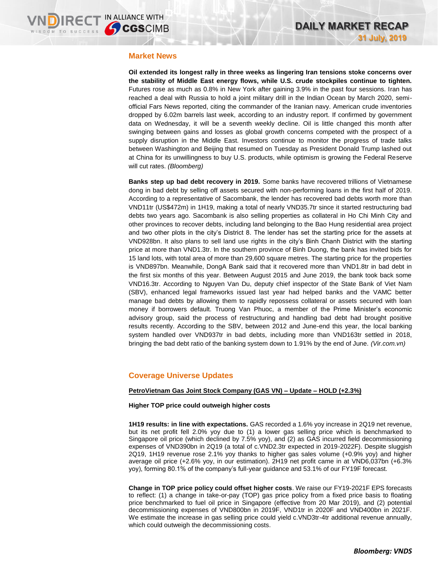### **Market News**

**Oil extended its longest rally in three weeks as lingering Iran tensions stoke concerns over the stability of Middle East energy flows, while U.S. crude stockpiles continue to tighten.** Futures rose as much as 0.8% in New York after gaining 3.9% in the past four sessions. Iran has reached a deal with Russia to hold a joint military drill in the Indian Ocean by March 2020, semiofficial Fars News reported, citing the commander of the Iranian navy. American crude inventories dropped by 6.02m barrels last week, according to an industry report. If confirmed by government data on Wednesday, it will be a seventh weekly decline. Oil is little changed this month after swinging between gains and losses as global growth concerns competed with the prospect of a supply disruption in the Middle East. Investors continue to monitor the progress of trade talks between Washington and Beijing that resumed on Tuesday as President Donald Trump lashed out at China for its unwillingness to buy U.S. products, while optimism is growing the Federal Reserve will cut rates. *(Bloomberg)*

**Banks step up bad debt recovery in 2019.** Some banks have recovered trillions of Vietnamese dong in bad debt by selling off assets secured with non-performing loans in the first half of 2019. According to a representative of Sacombank, the lender has recovered bad debts worth more than VND11tr (US\$472m) in 1H19, making a total of nearly VND35.7tr since it started restructuring bad debts two years ago. Sacombank is also selling properties as collateral in Ho Chi Minh City and other provinces to recover debts, including land belonging to the Bao Hung residential area project and two other plots in the city's District 8. The lender has set the starting price for the assets at VND928bn. It also plans to sell land use rights in the city's Binh Chanh District with the starting price at more than VND1.3tr. In the southern province of Binh Duong, the bank has invited bids for 15 land lots, with total area of more than 29,600 square metres. The starting price for the properties is VND897bn. Meanwhile, DongA Bank said that it recovered more than VND1.8tr in bad debt in the first six months of this year. Between August 2015 and June 2019, the bank took back some VND16.3tr. According to Nguyen Van Du, deputy chief inspector of the State Bank of Viet Nam (SBV), enhanced legal frameworks issued last year had helped banks and the VAMC better manage bad debts by allowing them to rapidly repossess collateral or assets secured with loan money if borrowers default. Truong Van Phuoc, a member of the Prime Minister's economic advisory group, said the process of restructuring and handling bad debt had brought positive results recently. According to the SBV, between 2012 and June-end this year, the local banking system handled over VND937tr in bad debts, including more than VND163tr settled in 2018, bringing the bad debt ratio of the banking system down to 1.91% by the end of June. *(Vir.com.vn)*

## **Coverage Universe Updates**

### **PetroVietnam Gas Joint Stock Company (GAS VN) – Update – HOLD (+2.3%)**

#### **Higher TOP price could outweigh higher costs**

**1H19 results: in line with expectations.** GAS recorded a 1.6% yoy increase in 2Q19 net revenue, but its net profit fell 2.0% yoy due to (1) a lower gas selling price which is benchmarked to Singapore oil price (which declined by 7.5% yoy), and (2) as GAS incurred field decommissioning expenses of VND390bn in 2Q19 (a total of c.VND2.3tr expected in 2019-2022F). Despite sluggish 2Q19, 1H19 revenue rose 2.1% yoy thanks to higher gas sales volume (+0.9% yoy) and higher average oil price (+2.6% yoy, in our estimation). 2H19 net profit came in at VND6,037bn (+6.3% yoy), forming 80.1% of the company's full-year guidance and 53.1% of our FY19F forecast.

**Change in TOP price policy could offset higher costs**. We raise our FY19-2021F EPS forecasts to reflect: (1) a change in take-or-pay (TOP) gas price policy from a fixed price basis to floating price benchmarked to fuel oil price in Singapore (effective from 20 Mar 2019), and (2) potential decommissioning expenses of VND800bn in 2019F, VND1tr in 2020F and VND400bn in 2021F. We estimate the increase in gas selling price could yield c.VND3tr-4tr additional revenue annually, which could outweigh the decommissioning costs.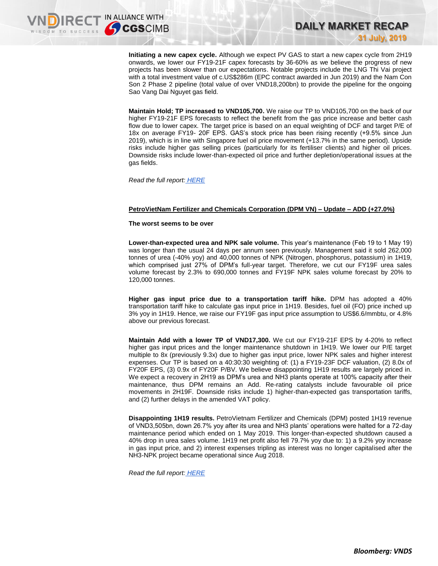**Initiating a new capex cycle.** Although we expect PV GAS to start a new capex cycle from 2H19 onwards, we lower our FY19-21F capex forecasts by 36-60% as we believe the progress of new projects has been slower than our expectations. Notable projects include the LNG Thi Vai project with a total investment value of c.US\$286m (EPC contract awarded in Jun 2019) and the Nam Con Son 2 Phase 2 pipeline (total value of over VND18,200bn) to provide the pipeline for the ongoing Sao Vang Dai Nguyet gas field.

**DAILY MARKET RECAP** 

**31 July, 2019**

**Maintain Hold; TP increased to VND105,700.** We raise our TP to VND105,700 on the back of our higher FY19-21F EPS forecasts to reflect the benefit from the gas price increase and better cash flow due to lower capex. The target price is based on an equal weighting of DCF and target P/E of 18x on average FY19- 20F EPS. GAS's stock price has been rising recently (+9.5% since Jun 2019), which is in line with Singapore fuel oil price movement (+13.7% in the same period). Upside risks include higher gas selling prices (particularly for its fertiliser clients) and higher oil prices. Downside risks include lower-than-expected oil price and further depletion/operational issues at the gas fields.

*Read the full report: [HERE](https://static-02.vndirect.com.vn/uploads/prod/GAS_Update_20190730.pdf)*

#### **PetroVietNam Fertilizer and Chemicals Corporation (DPM VN) – Update – ADD (+27.0%)**

#### **The worst seems to be over**

**Lower-than-expected urea and NPK sale volume.** This year's maintenance (Feb 19 to 1 May 19) was longer than the usual 24 days per annum seen previously. Management said it sold 262,000 tonnes of urea (-40% yoy) and 40,000 tonnes of NPK (Nitrogen, phosphorus, potassium) in 1H19, which comprised just 27% of DPM's full-year target. Therefore, we cut our FY19F urea sales volume forecast by 2.3% to 690,000 tonnes and FY19F NPK sales volume forecast by 20% to 120,000 tonnes.

**Higher gas input price due to a transportation tariff hike.** DPM has adopted a 40% transportation tariff hike to calculate gas input price in 1H19. Besides, fuel oil (FO) price inched up 3% yoy in 1H19. Hence, we raise our FY19F gas input price assumption to US\$6.6/mmbtu, or 4.8% above our previous forecast.

**Maintain Add with a lower TP of VND17,300.** We cut our FY19-21F EPS by 4-20% to reflect higher gas input prices and the longer maintenance shutdown in 1H19. We lower our P/E target multiple to 8x (previously 9.3x) due to higher gas input price, lower NPK sales and higher interest expenses. Our TP is based on a 40:30:30 weighting of: (1) a FY19-23F DCF valuation, (2) 8.0x of FY20F EPS, (3) 0.9x of FY20F P/BV. We believe disappointing 1H19 results are largely priced in. We expect a recovery in 2H19 as DPM's urea and NH3 plants operate at 100% capacity after their maintenance, thus DPM remains an Add. Re-rating catalysts include favourable oil price movements in 2H19F. Downside risks include 1) higher-than-expected gas transportation tariffs, and (2) further delays in the amended VAT policy.

**Disappointing 1H19 results.** PetroVietnam Fertilizer and Chemicals (DPM) posted 1H19 revenue of VND3,505bn, down 26.7% yoy after its urea and NH3 plants' operations were halted for a 72-day maintenance period which ended on 1 May 2019. This longer-than-expected shutdown caused a 40% drop in urea sales volume. 1H19 net profit also fell 79.7% yoy due to: 1) a 9.2% yoy increase in gas input price, and 2) interest expenses tripling as interest was no longer capitalised after the NH3-NPK project became operational since Aug 2018.

*Read the full report: [HERE](https://nhanha-public-api.vndirect.com.vn/click/OGE0ODlmZDA2ODYwMjZlMjAxNjg5OGJiOGM4YjMxODQ=/ZDQ4MzRlYjY4MTFlNDIzYWE4NGNhN2VmMWEzODU5ZjM=/d4834eb6811e423aa84ca7ef1a3859f3-DPM_Update_20190731.pdf/cmVzZWFyY2hAdm5kaXJlY3QuY29tLnZu/NTc3NQ==)*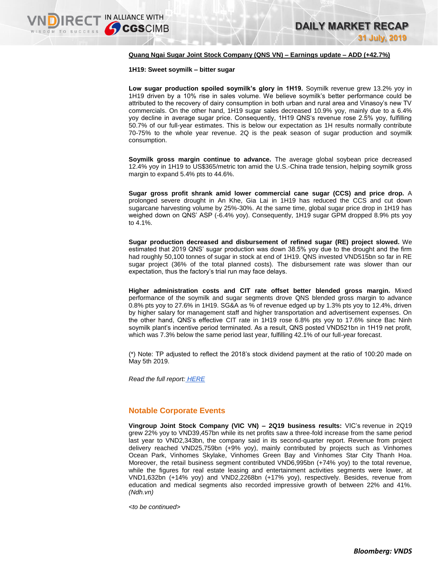#### **Quang Ngai Sugar Joint Stock Company (QNS VN) – Earnings update – ADD (+42.7%)**

**1H19: Sweet soymilk – bitter sugar**

**Low sugar production spoiled soymilk's glory in 1H19.** Soymilk revenue grew 13.2% yoy in 1H19 driven by a 10% rise in sales volume. We believe soymilk's better performance could be attributed to the recovery of dairy consumption in both urban and rural area and Vinasoy's new TV commercials. On the other hand, 1H19 sugar sales decreased 10.9% yoy, mainly due to a 6.4% yoy decline in average sugar price. Consequently, 1H19 QNS's revenue rose 2.5% yoy, fulfilling 50.7% of our full-year estimates. This is below our expectation as 1H results normally contribute 70-75% to the whole year revenue. 2Q is the peak season of sugar production and soymilk consumption.

**Soymilk gross margin continue to advance.** The average global soybean price decreased 12.4% yoy in 1H19 to US\$365/metric ton amid the U.S.-China trade tension, helping soymilk gross margin to expand 5.4% pts to 44.6%.

**Sugar gross profit shrank amid lower commercial cane sugar (CCS) and price drop.** A prolonged severe drought in An Khe, Gia Lai in 1H19 has reduced the CCS and cut down sugarcane harvesting volume by 25%-30%. At the same time, global sugar price drop in 1H19 has weighed down on QNS' ASP (-6.4% yoy). Consequently, 1H19 sugar GPM dropped 8.9% pts yoy to 4.1%.

**Sugar production decreased and disbursement of refined sugar (RE) project slowed.** We estimated that 2019 QNS' sugar production was down 38.5% yoy due to the drought and the firm had roughly 50,100 tonnes of sugar in stock at end of 1H19. QNS invested VND515bn so far in RE sugar project (36% of the total planned costs). The disbursement rate was slower than our expectation, thus the factory's trial run may face delays.

**Higher administration costs and CIT rate offset better blended gross margin.** Mixed performance of the soymilk and sugar segments drove QNS blended gross margin to advance 0.8% pts yoy to 27.6% in 1H19. SG&A as % of revenue edged up by 1.3% pts yoy to 12.4%, driven by higher salary for management staff and higher transportation and advertisement expenses. On the other hand, QNS's effective CIT rate in 1H19 rose 6.8% pts yoy to 17.6% since Bac Ninh soymilk plant's incentive period terminated. As a result, QNS posted VND521bn in 1H19 net profit, which was 7.3% below the same period last year, fulfilling 42.1% of our full-year forecast.

(\*) Note: TP adjusted to reflect the 2018's stock dividend payment at the ratio of 100:20 made on May 5th 2019.

*Read the full report: [HERE](https://nhanha-public-api.vndirect.com.vn/click/OGE0ODlmZDA2ODYwMjZlMjAxNjg5OGJlZTEyNDMxODY=/MWZkZDVkYzY2ZWVmNGYwZWI0YzNlN2MxNTA4Yjg3MDE=/1fdd5dc66eef4f0eb4c3e7c1508b8701-QNS_EarningsUpdate_20190731.pdf/cmVzZWFyY2hAdm5kaXJlY3QuY29tLnZu/NTc4Mw==)*

## **Notable Corporate Events**

**Vingroup Joint Stock Company (VIC VN) – 2Q19 business results:** VIC's revenue in 2Q19 grew 22% yoy to VND39,457bn while its net profits saw a three-fold increase from the same period last year to VND2,343bn, the company said in its second-quarter report. Revenue from project delivery reached VND25,759bn (+9% yoy), mainly contributed by projects such as Vinhomes Ocean Park, Vinhomes Skylake, Vinhomes Green Bay and Vinhomes Star City Thanh Hoa. Moreover, the retail business segment contributed VND6,995bn (+74% yoy) to the total revenue, while the figures for real estate leasing and entertainment activities segments were lower, at VND1,632bn (+14% yoy) and VND2,2268bn (+17% yoy), respectively. Besides, revenue from education and medical segments also recorded impressive growth of between 22% and 41%. *(Ndh.vn)*

*<to be continued>*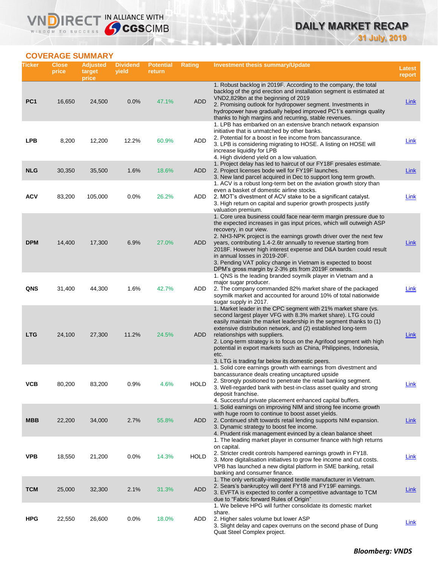## **DAILY MARKET RECAP 31 July, 2019**

**COVERAGE SUMMARY**

WISDOM TO SUCCESS

VND

IRECT IN ALLIANCE WITH

| Ticker          | <b>Close</b><br>price | <b>Adjusted</b><br>target<br>price | <b>Dividend</b><br>yield | <b>Potential</b><br>return | <b>Rating</b> | <b>Investment thesis summary/Update</b>                                                                                                                                                                                                                                                                                                                                                                                                                                                                                                | Latest<br>report |
|-----------------|-----------------------|------------------------------------|--------------------------|----------------------------|---------------|----------------------------------------------------------------------------------------------------------------------------------------------------------------------------------------------------------------------------------------------------------------------------------------------------------------------------------------------------------------------------------------------------------------------------------------------------------------------------------------------------------------------------------------|------------------|
| PC <sub>1</sub> | 16,650                | 24,500                             | 0.0%                     | 47.1%                      | <b>ADD</b>    | 1. Robust backlog in 2019F. According to the company, the total<br>backlog of the grid erection and installation segment is estimated at<br>VND2,829bn at the beginning of 2019<br>2. Promising outlook for hydropower segment. Investments in<br>hydropower have gradually helped improved PC1's earnings quality                                                                                                                                                                                                                     | Link             |
| <b>LPB</b>      | 8,200                 | 12,200                             | 12.2%                    | 60.9%                      | ADD           | thanks to high margins and recurring, stable revenues.<br>1. LPB has embarked on an extensive branch network expansion<br>initiative that is unmatched by other banks.<br>2. Potential for a boost in fee income from bancassurance.<br>3. LPB is considering migrating to HOSE. A listing on HOSE will<br>increase liquidity for LPB<br>4. High dividend yield on a low valuation.                                                                                                                                                    | Link             |
| <b>NLG</b>      | 30,350                | 35,500                             | 1.6%                     | 18.6%                      | <b>ADD</b>    | 1. Project delay has led to haircut of our FY18F presales estimate.<br>2. Project licenses bode well for FY19F launches.<br>3. New land parcel acquired in Dec to support long term growth.                                                                                                                                                                                                                                                                                                                                            | Link             |
| <b>ACV</b>      | 83,200                | 105,000                            | 0.0%                     | 26.2%                      | ADD           | 1. ACV is a robust long-term bet on the aviation growth story than<br>even a basket of domestic airline stocks.<br>2. MOT's divestment of ACV stake to be a significant catalyst.<br>3. High return on capital and superior growth prospects justify<br>valuation premium.                                                                                                                                                                                                                                                             | <b>Link</b>      |
| <b>DPM</b>      | 14,400                | 17,300                             | 6.9%                     | 27.0%                      | ADD           | 1. Core urea business could face near-term margin pressure due to<br>the expected increases in gas input prices, which will outweigh ASP<br>recovery, in our view.<br>2. NH3-NPK project is the earnings growth driver over the next few<br>years, contributing 1.4-2.6tr annually to revenue starting from<br>2018F. However high interest expense and D&A burden could result<br>in annual losses in 2019-20F.<br>3. Pending VAT policy change in Vietnam is expected to boost<br>DPM's gross margin by 2-3% pts from 2019F onwards. | Link             |
| <b>QNS</b>      | 31,400                | 44,300                             | 1.6%                     | 42.7%                      | ADD           | 1. QNS is the leading branded soymilk player in Vietnam and a<br>major sugar producer.<br>2. The company commanded 82% market share of the packaged<br>soymilk market and accounted for around 10% of total nationwide<br>sugar supply in 2017.                                                                                                                                                                                                                                                                                        | Link             |
| <b>LTG</b>      | 24,100                | 27,300                             | 11.2%                    | 24.5%                      | ADD           | 1. Market leader in the CPC segment with 21% market share (vs.<br>second largest player VFG with 8.3% market share). LTG could<br>easily maintain the market leadership in the segment thanks to (1)<br>extensive distribution network, and (2) established long-term<br>relationships with suppliers.<br>2. Long-term strategy is to focus on the Agrifood segment with high<br>potential in export markets such as China, Philippines, Indonesia,<br>etc.<br>3. LTG is trading far below its domestic peers.                         | Link             |
| ѴСВ             | 80,200                | 83,200                             | 0.9%                     | 4.0%                       | <b>HOLD</b>   | 1. Solid core earnings growth with earnings from divestment and<br>bancassurance deals creating uncaptured upside<br>2. Strongly positioned to penetrate the retail banking segment.<br>3. Well-regarded bank with best-in-class asset quality and strong<br>deposit franchise.<br>4. Successful private placement enhanced capital buffers.                                                                                                                                                                                           | <u>Link</u>      |
| <b>MBB</b>      | 22,200                | 34,000                             | 2.7%                     | 55.8%                      | <b>ADD</b>    | 1. Solid earnings on improving NIM and strong fee income growth<br>with huge room to continue to boost asset yields.<br>2. Continued shift towards retail lending supports NIM expansion.<br>3. Dynamic strategy to boost fee income.<br>4. Prudent risk management evinced by a clean balance sheet                                                                                                                                                                                                                                   | <b>Link</b>      |
| <b>VPB</b>      | 18,550                | 21,200                             | 0.0%                     | 14.3%                      | <b>HOLD</b>   | 1. The leading market player in consumer finance with high returns<br>on capital.<br>2. Stricter credit controls hampered earnings growth in FY18.<br>3. More digitalisation initiatives to grow fee income and cut costs.<br>VPB has launched a new digital platform in SME banking, retail<br>banking and consumer finance.                                                                                                                                                                                                          | <b>Link</b>      |
| <b>TCM</b>      | 25,000                | 32,300                             | 2.1%                     | 31.3%                      | <b>ADD</b>    | 1. The only vertically-integrated textile manufacturer in Vietnam.<br>2. Sears's bankruptcy will dent FY18 and FY19F earnings.<br>3. EVFTA is expected to confer a competitive advantage to TCM<br>due to "Fabric forward Rules of Origin"                                                                                                                                                                                                                                                                                             | <b>Link</b>      |
| <b>HPG</b>      | 22,550                | 26,600                             | 0.0%                     | 18.0%                      | ADD           | 1. We believe HPG will further consolidate its domestic market<br>share.<br>2. Higher sales volume but lower ASP<br>3. Slight delay and capex overruns on the second phase of Dung<br>Quat Steel Complex project.                                                                                                                                                                                                                                                                                                                      | <b>Link</b>      |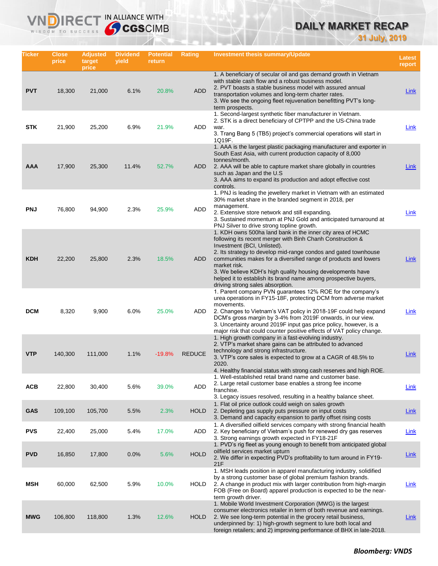## **DAILY MARKET RECAP**

**31 July, 2019**

| Ticker     | <b>Close</b><br>price | <b>Adjusted</b><br>target<br>price | <b>Dividend</b><br>yield | <b>Potential</b><br>return | Rating        | <b>Investment thesis summary/Update</b>                                                                                                                                                                                                                                                                                                                                                                                                                                             | <b>Latest</b><br>report |
|------------|-----------------------|------------------------------------|--------------------------|----------------------------|---------------|-------------------------------------------------------------------------------------------------------------------------------------------------------------------------------------------------------------------------------------------------------------------------------------------------------------------------------------------------------------------------------------------------------------------------------------------------------------------------------------|-------------------------|
| <b>PVT</b> | 18,300                | 21,000                             | 6.1%                     | 20.8%                      | <b>ADD</b>    | 1. A beneficiary of secular oil and gas demand growth in Vietnam<br>with stable cash flow and a robust business model.<br>2. PVT boasts a stable business model with assured annual<br>transportation volumes and long-term charter rates.<br>3. We see the ongoing fleet rejuvenation benefitting PVT's long-<br>term prospects.                                                                                                                                                   | <b>Link</b>             |
| <b>STK</b> | 21,900                | 25,200                             | 6.9%                     | 21.9%                      | ADD           | 1. Second-largest synthetic fiber manufacturer in Vietnam.<br>2. STK is a direct beneficiary of CPTPP and the US-China trade<br>war.<br>3. Trang Bang 5 (TB5) project's commercial operations will start in<br>1Q19F.                                                                                                                                                                                                                                                               | Link                    |
| AAA        | 17,900                | 25,300                             | 11.4%                    | 52.7%                      | ADD           | 1. AAA is the largest plastic packaging manufacturer and exporter in<br>South East Asia, with current production capacity of 8,000<br>tonnes/month.<br>2. AAA will be able to capture market share globally in countries<br>such as Japan and the U.S.<br>3. AAA aims to expand its production and adopt effective cost<br>controls.                                                                                                                                                | Link                    |
| <b>PNJ</b> | 76,800                | 94,900                             | 2.3%                     | 25.9%                      | ADD           | 1. PNJ is leading the jewellery market in Vietnam with an estimated<br>30% market share in the branded segment in 2018, per<br>management.<br>2. Extensive store network and still expanding.<br>3. Sustained momentum at PNJ Gold and anticipated turnaround at<br>PNJ Silver to drive strong topline growth.                                                                                                                                                                      | <b>Link</b>             |
| <b>KDH</b> | 22,200                | 25,800                             | 2.3%                     | 18.5%                      | ADD           | 1. KDH owns 500ha land bank in the inner city area of HCMC<br>following its recent merger with Binh Chanh Construction &<br>Investment (BCI, Unlisted).<br>2. Its strategy to develop mid-range condos and gated townhouse<br>communities makes for a diversified range of products and lowers<br>market risk.<br>3. We believe KDH's high quality housing developments have<br>helped it to establish its brand name among prospective buyers,<br>driving strong sales absorption. | <b>Link</b>             |
| <b>DCM</b> | 8,320                 | 9,900                              | 6.0%                     | 25.0%                      | ADD           | 1. Parent company PVN guarantees 12% ROE for the company's<br>urea operations in FY15-18F, protecting DCM from adverse market<br>movements.<br>2. Changes to Vietnam's VAT policy in 2018-19F could help expand<br>DCM's gross margin by 3-4% from 2019F onwards, in our view.<br>3. Uncertainty around 2019F input gas price policy, however, is a<br>major risk that could counter positive effects of VAT policy change.                                                         | Link                    |
| <b>VTP</b> | 140,300               | 111,000                            | 1.1%                     | $-19.8%$                   | <b>REDUCE</b> | 1. High growth company in a fast-evolving industry.<br>2. VTP's market share gains can be attributed to advanced<br>technology and strong infrastructure.<br>3. VTP's core sales is expected to grow at a CAGR of 48.5% to<br>2020.<br>4. Healthy financial status with strong cash reserves and high ROE.                                                                                                                                                                          | Link                    |
| <b>ACB</b> | 22,800                | 30,400                             | 5.6%                     | 39.0%                      | ADD           | 1. Well-established retail brand name and customer base.<br>2. Large retail customer base enables a strong fee income<br>franchise.<br>3. Legacy issues resolved, resulting in a healthy balance sheet.                                                                                                                                                                                                                                                                             | <b>Link</b>             |
| <b>GAS</b> | 109,100               | 105,700                            | 5.5%                     | 2.3%                       | <b>HOLD</b>   | 1. Flat oil price outlook could weigh on sales growth<br>2. Depleting gas supply puts pressure on input costs<br>3. Demand and capacity expansion to partly offset rising costs                                                                                                                                                                                                                                                                                                     | Link                    |
| <b>PVS</b> | 22,400                | 25,000                             | 5.4%                     | 17.0%                      | ADD           | 1. A diversified oilfield services company with strong financial health<br>2. Key beneficiary of Vietnam's push for renewed dry gas reserves<br>3. Strong earnings growth expected in FY18-21F                                                                                                                                                                                                                                                                                      | Link                    |
| <b>PVD</b> | 16,850                | 17,800                             | 0.0%                     | 5.6%                       | <b>HOLD</b>   | 1. PVD's rig fleet as young enough to benefit from anticipated global<br>oilfield services market upturn<br>2. We differ in expecting PVD's profitability to turn around in FY19-<br>21F                                                                                                                                                                                                                                                                                            | <b>Link</b>             |
| <b>MSH</b> | 60,000                | 62,500                             | 5.9%                     | 10.0%                      | HOLD          | 1. MSH leads position in apparel manufacturing industry, solidified<br>by a strong customer base of global premium fashion brands.<br>2. A change in product mix with larger contribution from high-margin<br>FOB (Free on Board) apparel production is expected to be the near-<br>term growth driver.                                                                                                                                                                             | <b>Link</b>             |
| <b>MWG</b> | 106,800               | 118,800                            | 1.3%                     | 12.6%                      | <b>HOLD</b>   | 1. Mobile World Investment Corporation (MWG) is the largest<br>consumer electronics retailer in term of both revenue and earnings.<br>2. We see long-term potential in the grocery retail business,<br>underpinned by: 1) high-growth segment to lure both local and<br>foreign retailers; and 2) improving performance of BHX in late-2018.                                                                                                                                        | <u>Link</u>             |

IRECT IN ALLIANCE WITH

**VND** 

WISDOM TO SUCCESS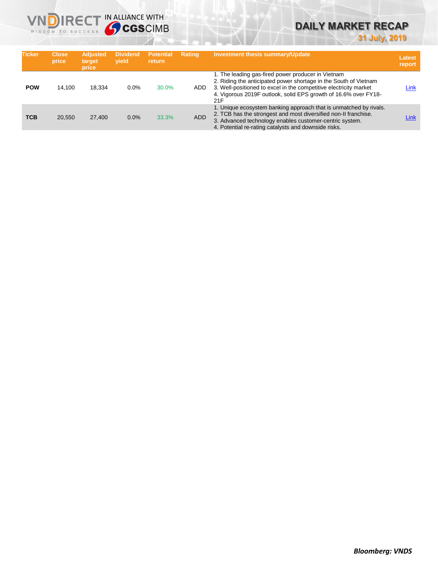

## **DAILY MARKET RECAP**

**31 July, 2019**

| <b>Ticker</b> | <b>Close</b><br>price | <b>Adjusted</b><br>target<br>price | <b>Dividend</b><br>vield | <b>Potential</b><br><b>return</b> | <b>Rating</b> | <b>Investment thesis summary/Update</b>                                                                                                                                                                                                                               | Latest<br>report |
|---------------|-----------------------|------------------------------------|--------------------------|-----------------------------------|---------------|-----------------------------------------------------------------------------------------------------------------------------------------------------------------------------------------------------------------------------------------------------------------------|------------------|
| <b>POW</b>    | 14.100                | 18.334                             | 0.0%                     | 30.0%                             | ADD           | 1. The leading gas-fired power producer in Vietnam<br>2. Riding the anticipated power shortage in the South of Vietnam<br>3. Well-positioned to excel in the competitive electricity market<br>4. Vigorous 2019F outlook, solid EPS growth of 16.6% over FY18-<br>21F | Link             |
| <b>TCB</b>    | 20.550                | 27,400                             | 0.0%                     | 33.3%                             | <b>ADD</b>    | 1. Unique ecosystem banking approach that is unmatched by rivals.<br>2. TCB has the strongest and most diversified non-II franchise.<br>3. Advanced technology enables customer-centric system.<br>4. Potential re-rating catalysts and downside risks.               | Link             |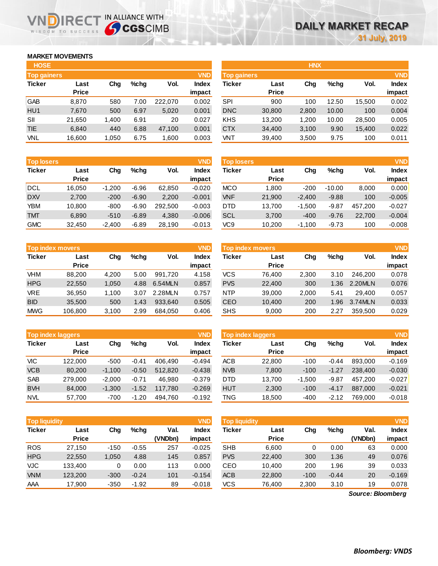## **MARKET MOVEMENTS**

WISDOM TO SUCCESS

ND)

| <b>HOSE</b>        |              |       |      |         |              |
|--------------------|--------------|-------|------|---------|--------------|
| <b>Top gainers</b> |              |       |      |         | <b>VND</b>   |
| <b>Ticker</b>      | Last         | Cha   | %chq | Vol.    | <b>Index</b> |
|                    | <b>Price</b> |       |      |         | impact       |
| GAB                | 8,870        | 580   | 7.00 | 222,070 | 0.002        |
| HUI                | 7,670        | 500   | 6.97 | 5,020   | 0.001        |
| SII                | 21,650       | 1,400 | 6.91 | 20      | 0.027        |
| <b>TIE</b>         | 6.840        | 440   | 6.88 | 47,100  | 0.001        |
| <b>VNL</b>         | 16,600       | 1,050 | 6.75 | 1,600   | 0.003        |

IRECT IN ALLIANCE WITH

| <b>VNL</b>        | 16,600       | 1,050    | 6.75    | 1,600   | 0.003        | VNT               | 39,400                      | 3,500                          | 9.75                 | 100                  | 0.011        |
|-------------------|--------------|----------|---------|---------|--------------|-------------------|-----------------------------|--------------------------------|----------------------|----------------------|--------------|
|                   |              |          |         |         |              |                   |                             |                                |                      |                      |              |
| <b>Top losers</b> |              |          |         |         | <b>VND</b>   | <b>Top losers</b> |                             |                                |                      |                      | <b>VND</b>   |
| <b>Ticker</b>     | Last         | Chg      | $%$ chq | Vol.    | <b>Index</b> | Ticker            | Last                        | Chg                            | $%$ chq              | Vol.                 | <b>Index</b> |
|                   | <b>Price</b> |          |         |         | impact       |                   | <b>Price</b>                |                                |                      |                      | impact       |
| <b>DCL</b>        | 16,050       | $-1,200$ | $-6.96$ | 62,850  | $-0.020$     | <b>MCO</b>        | 1,800                       | $-200$                         | $-10.00$             | 8,000                | 0.000        |
| <b>DXV</b>        | 2,700        | $-200$   | $-6.90$ | 2,200   | $-0.001$     | <b>VNF</b>        | 21,900                      | $-2,400$                       | $-9.88$              | 100                  | $-0.005$     |
| <b>YBM</b>        | 10,800       | $-800$   | $-6.90$ | 292,500 | $-0.003$     | <b>DTD</b>        | 13.700                      | $-1,500$                       | $-9.87$              | 457.200              | $-0.027$     |
| <b>TMT</b>        | 6,890        | $-510$   | $-6.89$ | 4,380   | $-0.006$     | <b>SCL</b>        | 3,700                       | $-400$                         | $-9.76$              | 22,700               | $-0.004$     |
| $\sim$ $\sim$     | -- ---       | - ---    | $- - -$ | -- .--  | ----         | $\cdots$          | $\sim$ $\sim$ $\sim$ $\sim$ | $\cdot$ $\cdot$ $\sim$ $\cdot$ | $\sim$ $\sim$ $\sim$ | $\sim$ $\sim$ $\sim$ | ----         |

| <b>Top index movers</b> |              |       |      |         | <b>VND</b>   |
|-------------------------|--------------|-------|------|---------|--------------|
| <b>Ticker</b>           | Last         | Cha   |      | Vol.    | <b>Index</b> |
|                         | <b>Price</b> |       |      |         | impact       |
| VHM                     | 88,200       | 4,200 | 5.00 | 991.720 | 4.158        |
| <b>HPG</b>              | 22,550       | 1,050 | 4.88 | 6.54MLN | 0.857        |
| <b>VRE</b>              | 36.950       | 1,100 | 3.07 | 2.28MLN | 0.757        |
| <b>BID</b>              | 35,500       | 500   | 1.43 | 933.640 | 0.505        |
| <b>MWG</b>              | 106,800      | 3,100 | 2.99 | 684,050 | 0.406        |

|               | <b>Top index laggers</b> |          |         |         | <b>VND</b>   |
|---------------|--------------------------|----------|---------|---------|--------------|
| <b>Ticker</b> | Last                     | Cha      | %chq    | Vol.    | <b>Index</b> |
|               | <b>Price</b>             |          |         |         | impact       |
| VIC.          | 122,000                  | $-500$   | $-0.41$ | 406,490 | $-0.494$     |
| <b>VCB</b>    | 80,200                   | $-1,100$ | $-0.50$ | 512,820 | $-0.438$     |
| <b>SAB</b>    | 279,000                  | $-2,000$ | $-0.71$ | 46,980  | $-0.379$     |
| <b>BVH</b>    | 84,000                   | $-1,300$ | $-1.52$ | 117,780 | $-0.269$     |
| <b>NVL</b>    | 57,700                   | $-700$   | $-1.20$ | 494.760 | $-0.192$     |

| <b>Top liquidity</b> |                      |        |         |                 | <b>VND</b>      | <b>Top liquidity</b> |                      |        |         |                   |                        |
|----------------------|----------------------|--------|---------|-----------------|-----------------|----------------------|----------------------|--------|---------|-------------------|------------------------|
| <b>Ticker</b>        | Last<br><b>Price</b> | Chg    | $%$ chq | Val.<br>(VNDbn) | Index<br>impact | <b>Ticker</b>        | Last<br><b>Price</b> | Chg    | %chg    | Val.<br>(VNDbn)   | <b>Index</b><br>impact |
| <b>ROS</b>           | 27.150               | $-150$ | $-0.55$ | 257             | $-0.025$        | <b>SHB</b>           | 6,600                | 0      | 0.00    | 63                | 0.000                  |
| <b>HPG</b>           | 22,550               | 1,050  | 4.88    | 145             | 0.857           | <b>PVS</b>           | 22,400               | 300    | 1.36    | 49                | 0.076                  |
| VJC                  | 133.400              | 0      | 0.00    | 113             | 0.000           | CEO                  | 10.400               | 200    | 1.96    | 39                | 0.033                  |
| <b>VNM</b>           | 123,200              | $-300$ | $-0.24$ | 101             | $-0.154$        | <b>ACB</b>           | 22,800               | $-100$ | $-0.44$ | 20                | $-0.169$               |
| AAA                  | 17,900               | $-350$ | $-1.92$ | 89              | $-0.018$        | <b>VCS</b>           | 76,400               | 2,300  | 3.10    | 19                | 0.078                  |
|                      |                      |        |         |                 |                 |                      |                      |        |         | Source: Bloomberg |                        |

| <b>HOSE</b>        |              |       |         |         |              |                    |              | <b>HNX</b> |         |        |              |
|--------------------|--------------|-------|---------|---------|--------------|--------------------|--------------|------------|---------|--------|--------------|
| <b>Top gainers</b> |              |       |         |         | <b>VND</b>   | <b>Top gainers</b> |              |            |         |        | <b>VND</b>   |
| <b>Ticker</b>      | Last         | Chg   | $%$ chq | Vol.    | <b>Index</b> | Ticker             | Last         | Chg        | $%$ chq | Vol.   | <b>Index</b> |
|                    | <b>Price</b> |       |         |         | impact       |                    | <b>Price</b> |            |         |        | impact       |
| GAB                | 8,870        | 580   | 7.00    | 222,070 | 0.002        | SPI                | 900          | 100        | 12.50   | 15,500 | 0.002        |
| HU1                | 7,670        | 500   | 6.97    | 5,020   | 0.001        | <b>DNC</b>         | 30,800       | 2,800      | 10.00   | 100    | 0.004        |
| SII                | 21.650       | 1.400 | 6.91    | 20      | 0.027        | <b>KHS</b>         | 13,200       | 1.200      | 10.00   | 28,500 | 0.005        |
| TIE                | 6,840        | 440   | 6.88    | 47,100  | 0.001        | <b>CTX</b>         | 34,400       | 3,100      | 9.90    | 15,400 | 0.022        |
| VNL                | 16,600       | 1,050 | 6.75    | 1,600   | 0.003        | VNT                | 39,400       | 3,500      | 9.75    | 100    | 0.011        |
|                    |              |       |         |         |              |                    |              |            |         |        |              |

| <b>Top losers</b> |                      |          |         |         | <b>VND</b>      | <b>Top losers</b> |                      |          |          |         | <b>VND</b>             |
|-------------------|----------------------|----------|---------|---------|-----------------|-------------------|----------------------|----------|----------|---------|------------------------|
| <b>Ticker</b>     | Last<br><b>Price</b> | Cha      | $%$ chq | Vol.    | Index<br>impact | Ticker            | Last<br><b>Price</b> | Chg      | $%$ chq  | Vol.    | <b>Index</b><br>impact |
| DCL               | 16.050               | $-1.200$ | $-6.96$ | 62,850  | $-0.020$        | <b>MCO</b>        | 1.800                | $-200$   | $-10.00$ | 8,000   | 0.000                  |
| <b>DXV</b>        | 2,700                | $-200$   | $-6.90$ | 2,200   | $-0.001$        | <b>VNF</b>        | 21,900               | $-2.400$ | $-9.88$  | 100     | $-0.005$               |
| YBM               | 10,800               | $-800$   | $-6.90$ | 292.500 | $-0.003$        | <b>DTD</b>        | 13.700               | $-1,500$ | $-9.87$  | 457.200 | $-0.027$               |
| <b>TMT</b>        | 6,890                | $-510$   | $-6.89$ | 4,380   | $-0.006$        | <b>SCL</b>        | 3,700                | $-400$   | $-9.76$  | 22,700  | $-0.004$               |
| <b>GMC</b>        | 32,450               | $-2,400$ | $-6.89$ | 28,190  | $-0.013$        | VC9               | 10,200               | $-1,100$ | $-9.73$  | 100     | $-0.008$               |

| <b>VND</b><br>Top index movers |              |       |      |         |        | Top index movers |              |       |         |         | <b>VND</b>   |
|--------------------------------|--------------|-------|------|---------|--------|------------------|--------------|-------|---------|---------|--------------|
| Ticker                         | Last         | Cha   | %chq | Vol.    | Index  | Ticker           | Last         | Chg   | $%$ chq | Vol.    | <b>Index</b> |
|                                | <b>Price</b> |       |      |         | impact |                  | <b>Price</b> |       |         |         | impact       |
| VHM                            | 88,200       | 4.200 | 5.00 | 991.720 | 4.158  | <b>VCS</b>       | 76.400       | 2.300 | 3.10    | 246.200 | 0.078        |
| <b>HPG</b>                     | 22,550       | 1.050 | 4.88 | 6.54MLN | 0.857  | <b>PVS</b>       | 22,400       | 300   | 1.36    | 2.20MLN | 0.076        |
| <b>VRE</b>                     | 36.950       | 1.100 | 3.07 | 2.28MLN | 0.757  | <b>NTP</b>       | 39,000       | 2.000 | 5.41    | 29.400  | 0.057        |
| <b>BID</b>                     | 35,500       | 500   | 1.43 | 933.640 | 0.505  | CEO              | 10.400       | 200   | 1.96    | 3.74MLN | 0.033        |
| <b>MWG</b>                     | 106,800      | 3,100 | 2.99 | 684,050 | 0.406  | <b>SHS</b>       | 9,000        | 200   | 2.27    | 359.500 | 0.029        |

|            | <b>Top index laggers</b> |          |         |         | <b>VND</b> | <b>Top index laggers</b> |              |          |         |         |              |
|------------|--------------------------|----------|---------|---------|------------|--------------------------|--------------|----------|---------|---------|--------------|
| Ticker     | Last                     | Chg      | $%$ chq | Vol.    | Index      | Ticker                   | Last         | Chg      | $%$ chq | Vol.    | <b>Index</b> |
|            | <b>Price</b>             |          |         |         | impact     |                          | <b>Price</b> |          |         |         | impact       |
| VIC        | 122,000                  | $-500$   | $-0.41$ | 406.490 | $-0.494$   | <b>ACB</b>               | 22,800       | $-100$   | $-0.44$ | 893,000 | $-0.169$     |
| <b>VCB</b> | 80,200                   | $-1.100$ | $-0.50$ | 512.820 | $-0.438$   | <b>NVB</b>               | 7,800        | $-100$   | $-1.27$ | 238,400 | $-0.030$     |
| <b>SAB</b> | 279.000                  | $-2.000$ | $-0.71$ | 46.980  | $-0.379$   | <b>DTD</b>               | 13.700       | $-1.500$ | $-9.87$ | 457.200 | $-0.027$     |
| <b>BVH</b> | 84.000                   | $-1.300$ | $-1.52$ | 117.780 | $-0.269$   | <b>HUT</b>               | 2,300        | $-100$   | $-4.17$ | 887.000 | $-0.021$     |
| <b>NVL</b> | 57.700                   | $-700$   | $-1.20$ | 494.760 | $-0.192$   | TNG                      | 18.500       | $-400$   | $-2.12$ | 769.000 | $-0.018$     |

| <b>Top liquidity</b> |              |        |         |         | <b>VND</b>   |
|----------------------|--------------|--------|---------|---------|--------------|
| <b>Ticker</b>        | Last         | Chq    | %chq    | Val.    | <b>Index</b> |
|                      | <b>Price</b> |        |         | (VNDbn) | impact       |
| <b>SHB</b>           | 6,600        | 0      | 0.00    | 63      | 0.000        |
| <b>PVS</b>           | 22,400       | 300    | 1.36    | 49      | 0.076        |
| CEO                  | 10,400       | 200    | 1.96    | 39      | 0.033        |
| <b>ACB</b>           | 22,800       | $-100$ | $-0.44$ | 20      | $-0.169$     |
| <b>VCS</b>           | 76,400       | 2,300  | 3.10    | 19      | 0.078        |

*Source: Bloomberg*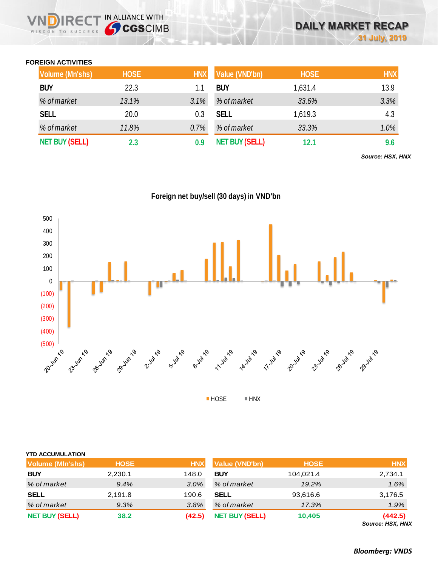## **FOREIGN ACTIVITIES**

WISDOM TO SUCCESS

**DIRECT IN ALLIANCE WITH** 

| <b>Volume (Mn'shs)</b> | <b>HOSE</b> | <b>HNX</b> | Value (VND'bn)        | <b>HOSE</b> | <b>HNX</b> |
|------------------------|-------------|------------|-----------------------|-------------|------------|
| <b>BUY</b>             | 22.3        | 1.1        | <b>BUY</b>            | 1,631.4     | 13.9       |
| % of market            | 13.1%       | 3.1%       | % of market           | 33.6%       | 3.3%       |
| <b>SELL</b>            | 20.0        | 0.3        | <b>SELL</b>           | 1,619.3     | 4.3        |
| % of market            | 11.8%       | $0.7\%$    | % of market           | 33.3%       | 1.0%       |
| <b>NET BUY (SELL)</b>  | 2.3         | 0.9        | <b>NET BUY (SELL)</b> | 12.1        | 9.6        |

*Source: HSX, HNX*

**Foreign net buy/sell (30 days) in VND'bn**



| <b>YTD ACCUMULATION</b> |             |            |                       |             |                             |
|-------------------------|-------------|------------|-----------------------|-------------|-----------------------------|
| <b>Volume (MIn'shs)</b> | <b>HOSE</b> | <b>HNX</b> | <b>Value (VND'bn)</b> | <b>HOSE</b> | <b>HNX</b>                  |
| <b>BUY</b>              | 2,230.1     | 148.0      | <b>BUY</b>            | 104,021.4   | 2,734.1                     |
| % of market             | 9.4%        | 3.0%       | % of market           | 19.2%       | 1.6%                        |
| <b>SELL</b>             | 2,191.8     | 190.6      | <b>SELL</b>           | 93,616.6    | 3,176.5                     |
| % of market             | 9.3%        | 3.8%       | % of market           | 17.3%       | 1.9%                        |
| <b>NET BUY (SELL)</b>   | 38.2        | (42.5)     | <b>NET BUY (SELL)</b> | 10,405      | (442.5)<br>Source: HSX, HNX |

*Bloomberg: VNDS*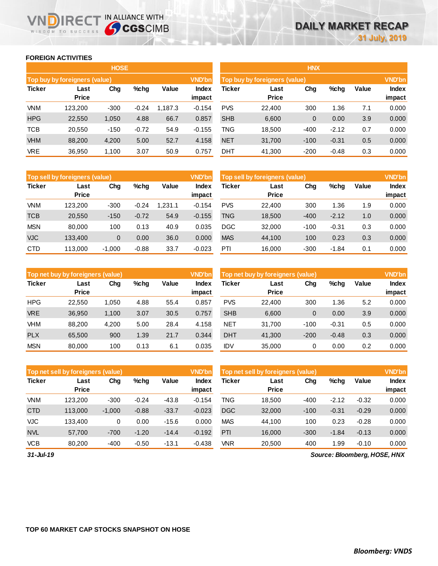### **FOREIGN ACTIVITIES**

WISDOM TO SUCCESS

n

**IRECT IN ALLIANCE WITH** 

|               |                                              | <b>HOSE</b> |         |         |                 | <b>HNX</b>                    |                        |                        |         |     |       |
|---------------|----------------------------------------------|-------------|---------|---------|-----------------|-------------------------------|------------------------|------------------------|---------|-----|-------|
|               | Top buy by foreigners (value)                |             |         |         | <b>VND'bn</b>   | Top buy by foreigners (value) |                        |                        |         |     |       |
| <b>Ticker</b> | Value<br>Chg<br>%chg<br>Last<br><b>Price</b> |             |         |         | Index<br>impact | <b>Ticker</b>                 | Value                  | <b>Index</b><br>impact |         |     |       |
| <b>VNM</b>    | 123.200                                      | $-300$      | $-0.24$ | 1.187.3 | $-0.154$        | <b>PVS</b>                    | <b>Price</b><br>22,400 | 300                    | 1.36    | 7.1 | 0.000 |
| <b>HPG</b>    | 22,550                                       | 1,050       | 4.88    | 66.7    | 0.857           | <b>SHB</b>                    | 6,600                  | 0                      | 0.00    | 3.9 | 0.000 |
| <b>TCB</b>    | 20,550                                       | $-150$      | $-0.72$ | 54.9    | $-0.155$        | TNG                           | 18,500                 | $-400$                 | $-2.12$ | 0.7 | 0.000 |
| <b>VHM</b>    | 88,200                                       | 4,200       | 5.00    | 52.7    | 4.158           | <b>NET</b>                    | 31,700                 | $-100$                 | $-0.31$ | 0.5 | 0.000 |
| <b>VRE</b>    | 36,950                                       | 1,100       | 3.07    | 50.9    | 0.757           | <b>DHT</b>                    | 41,300                 | $-200$                 | $-0.48$ | 0.3 | 0.000 |

|               | Top sell by foreigners (value) |          |         |        | <b>VND'bn</b>   | Top sell by foreigners (value) |                      |        |         |       | <b>VND'bn</b>          |
|---------------|--------------------------------|----------|---------|--------|-----------------|--------------------------------|----------------------|--------|---------|-------|------------------------|
| <b>Ticker</b> | Last<br><b>Price</b>           | Chg      | $%$ chg | Value  | Index<br>impact | Ticker                         | Last<br><b>Price</b> | Chg    | %chg    | Value | <b>Index</b><br>impact |
| <b>VNM</b>    | 123.200                        | $-300$   | $-0.24$ | .231.1 | $-0.154$        | <b>PVS</b>                     | 22,400               | 300    | 1.36    | 1.9   | 0.000                  |
| <b>TCB</b>    | 20,550                         | $-150$   | $-0.72$ | 54.9   | $-0.155$        | <b>TNG</b>                     | 18,500               | $-400$ | $-2.12$ | 1.0   | 0.000                  |
| <b>MSN</b>    | 80.000                         | 100      | 0.13    | 40.9   | 0.035           | <b>DGC</b>                     | 32,000               | $-100$ | $-0.31$ | 0.3   | 0.000                  |
| <b>VJC</b>    | 133.400                        | 0        | 0.00    | 36.0   | 0.000           | <b>MAS</b>                     | 44,100               | 100    | 0.23    | 0.3   | 0.000                  |
| <b>CTD</b>    | 113.000                        | $-1,000$ | $-0.88$ | 33.7   | $-0.023$        | PTI                            | 16,000               | $-300$ | $-1.84$ | 0.1   | 0.000                  |

|               | Top net buy by foreigners (value) |       |         |       | <b>VND'bn</b>   | Top net buy by foreigners (value) |                      |        |         |       | <b>VND'bn</b>          |
|---------------|-----------------------------------|-------|---------|-------|-----------------|-----------------------------------|----------------------|--------|---------|-------|------------------------|
| <b>Ticker</b> | Last<br><b>Price</b>              | Chg   | $%$ chg | Value | Index<br>impact | Ticker                            | Last<br><b>Price</b> | Chg    | %chg    | Value | <b>Index</b><br>impact |
| <b>HPG</b>    | 22.550                            | 1.050 | 4.88    | 55.4  | 0.857           | <b>PVS</b>                        | 22,400               | 300    | 1.36    | 5.2   | 0.000                  |
| <b>VRE</b>    | 36.950                            | 1,100 | 3.07    | 30.5  | 0.757           | <b>SHB</b>                        | 6.600                | 0      | 0.00    | 3.9   | 0.000                  |
| <b>VHM</b>    | 88,200                            | 4.200 | 5.00    | 28.4  | 4.158           | <b>NET</b>                        | 31.700               | $-100$ | $-0.31$ | 0.5   | 0.000                  |
| <b>PLX</b>    | 65,500                            | 900   | 1.39    | 21.7  | 0.344           | <b>DHT</b>                        | 41,300               | $-200$ | $-0.48$ | 0.3   | 0.000                  |
| <b>MSN</b>    | 80.000                            | 100   | 0.13    | 6.1   | 0.035           | <b>IDV</b>                        | 35,000               | 0      | 0.00    | 0.2   | 0.000                  |

|               | Top net sell by foreigners (value) |          |         |         | <b>VND'bn</b>   | Top net sell by foreigners (value) |                      |        |         |         | <b>VND'bn</b>   |
|---------------|------------------------------------|----------|---------|---------|-----------------|------------------------------------|----------------------|--------|---------|---------|-----------------|
| <b>Ticker</b> | Last<br><b>Price</b>               | Chg      | %chg    | Value   | Index<br>impact | Ticker                             | Last<br><b>Price</b> | Chg    | %chg    | Value   | Index<br>impact |
| <b>VNM</b>    | 123,200                            | $-300$   | $-0.24$ | $-43.8$ | $-0.154$        | TNG                                | 18.500               | $-400$ | $-2.12$ | $-0.32$ | 0.000           |
| <b>CTD</b>    | 113,000                            | $-1,000$ | $-0.88$ | $-33.7$ | $-0.023$        | <b>DGC</b>                         | 32,000               | $-100$ | $-0.31$ | $-0.29$ | 0.000           |
| <b>VJC</b>    | 133.400                            | 0        | 0.00    | $-15.6$ | 0.000           | <b>MAS</b>                         | 44.100               | 100    | 0.23    | $-0.28$ | 0.000           |
| <b>NVL</b>    | 57.700                             | $-700$   | $-1.20$ | $-14.4$ | $-0.192$        | PTI                                | 16,000               | $-300$ | $-1.84$ | $-0.13$ | 0.000           |
| <b>VCB</b>    | 80.200                             | $-400$   | $-0.50$ | $-13.1$ | $-0.438$        | VNR                                | 20.500               | 400    | 1.99    | $-0.10$ | 0.000           |

*31-Jul-19*

*Source: Bloomberg, HOSE, HNX*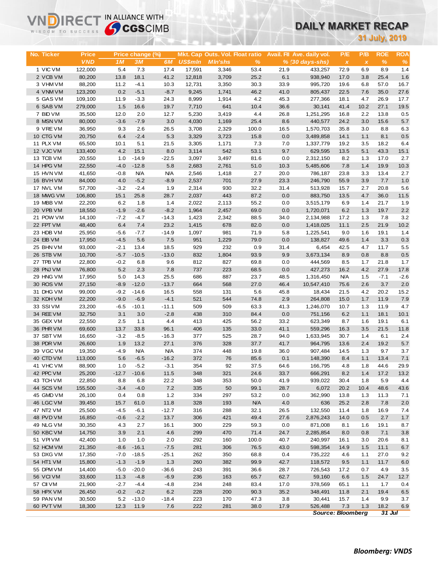# **DAILY MARKET RECAP**

| 31 July, 2019<br>P/B<br><b>ROE</b><br><b>Price</b><br>Mkt. Cap Outs. Vol. Float ratio<br>Avail. Fil Ave. daily vol.<br><b>ROA</b><br>No. Ticker<br>Price change (%)<br>P/E<br><b>VND</b><br>%<br>$\%$<br>1 <sub>M</sub><br>3M<br>6M<br><b>US\$mln</b><br><b>MIn'shs</b><br>%<br>$% (30 \, \text{days-shs})$<br>$\pmb{\chi}$<br>$\pmb{\chi}$<br>5.4<br>1 VIC VM<br>122,000<br>7.3<br>17.4<br>17,591<br>3,346<br>53.4<br>21.9<br>72.9<br>6.9<br>8.9<br>1.4<br>433,257<br>6.1<br>25.4<br>2 VCB VM<br>80,200<br>13.8<br>18.1<br>41.2<br>12,818<br>3,709<br>25.2<br>1.6<br>938,940<br>17.0<br>3.8<br>11.2<br>$-4.1$<br>30.3<br>33.9<br>57.0<br>16.7<br>3 VHM VM<br>88,200<br>10.3<br>12,731<br>3,350<br>995,720<br>19.6<br>6.8<br>4 VNM VM<br>0.2<br>$-5.1$<br>$-8.7$<br>9,245<br>1,741<br>46.2<br>41.0<br>7.6<br>35.0<br>27.6<br>123,200<br>805,437<br>22.5<br>5 GAS VM<br>109,100<br>$-3.3$<br>4.2<br>45.3<br>17.7<br>11.9<br>24.3<br>8,999<br>1,914<br>277,366<br>18.1<br>4.7<br>26.9<br>6 SAB VM<br>1.5<br>16.6<br>19.7<br>7,710<br>641<br>10.4<br>36.6<br>41.4<br>10.2<br>27.1<br>19.5<br>279,000<br>30,141<br>7 BID VM<br>35,500<br>12.0<br>2.0<br>12.7<br>5,230<br>4.4<br>26.8<br>1,251,295<br>2.2<br>13.8<br>0.5<br>3,419<br>16.8<br>8 MSN VM<br>80,000<br>$-3.6$<br>$-7.9$<br>3.0<br>4,030<br>25.4<br>8.6<br>440,577<br>24.2<br>3.0<br>15.6<br>5.7<br>1,169<br>9 VREVM<br>36,950<br>9.3<br>2.6<br>26.5<br>3,708<br>2,329<br>100.0<br>16.5<br>35.8<br>3.0<br>8.8<br>6.3<br>1,570,703<br>5.3<br>8.1<br>0.5<br>10 CTG VM<br>20,750<br>6.4<br>$-2.4$<br>3,329<br>3,723<br>15.8<br>0.0<br>3,489,858<br>14.1<br>1.1<br>11 PLX VM<br>65,500<br>10.1<br>5.1<br>21.5<br>3,305<br>7.3<br>7.0<br>1,337,779<br>18.2<br>6.4<br>1,171<br>19.2<br>3.5<br>12 VJC VM<br>4.2<br>15.1<br>8.0<br>3,114<br>542<br>53.1<br>9.7<br>5.1<br>43.3<br>15.1<br>133,400<br>629,595<br>13.5<br>13 TCB VM<br>1.0<br>$-14.9$<br>$-22.5$<br>81.6<br>0.0<br>17.0<br>2.7<br>20,550<br>3,097<br>3,497<br>2,312,150<br>8.2<br>1.3<br>14 HPG VM<br>22,550<br>$-4.0$<br>$-12.8$<br>5.8<br>2,761<br>51.0<br>5,485,606<br>7.8<br>1.4<br>19.9<br>10.3<br>2,683<br>10.3<br>15 HVN VM<br>41,650<br>$-0.8$<br><b>N/A</b><br><b>N/A</b><br>2,546<br>20.0<br>2.7<br>1,418<br>2.7<br>786,187<br>23.8<br>3.3<br>13.4<br>$-5.2$<br>16 BVHVM<br>84,000<br>4.0<br>$-8.9$<br>2,537<br>701<br>27.9<br>23.3<br>3.9<br>7.7<br>1.0<br>246,790<br>55.9<br>5.6<br>17 NVL VM<br>57,700<br>$-3.2$<br>$-2.4$<br>2,314<br>930<br>32.2<br>15.7<br>2.7<br>20.8<br>1.9<br>31.4<br>513,928<br>443<br>36.0<br>18 MWG VM<br>106,800<br>15.1<br>25.8<br>28.7<br>2,037<br>87.2<br>0.0<br>883,750<br>4.7<br>11.5<br>13.5<br>19 MBB VM<br>22,200<br>6.2<br>2,022<br>2,113<br>55.2<br>0.0<br>3,515,179<br>6.9<br>21.7<br>1.9<br>1.8<br>1.4<br>1.4<br>20 VPB VM<br>19.7<br>2.2<br>18,550<br>$-1.9$<br>$-2.6$<br>$-8.2$<br>1,964<br>2,457<br>69.0<br>0.0<br>1,720,071<br>6.2<br>1.3<br>21 POW VM<br>14,100<br>$-7.2$<br>$-4.7$<br>$-14.3$<br>1,423<br>88.5<br>34.0<br>17.2<br>1.3<br>7.8<br>3.2<br>2,342<br>2,134,988<br>21.9<br>10.2<br>22 FPT VM<br>48,400<br>6.4<br>7.4<br>23.2<br>1,415<br>678<br>82.0<br>0.0<br>2.5<br>1,418,025<br>11.1<br>23 HDB VM<br>25,950<br>$-7.7$<br>$-14.9$<br>981<br>71.9<br>5.8<br>1,225,541<br>9.0<br>1.6<br>19.1<br>1.4<br>$-5.6$<br>1,097<br>24 EIB VM<br>$-4.5$<br>5.6<br>7.5<br>951<br>1,229<br>79.0<br>0.0<br>1.4<br>3.3<br>0.3<br>17,950<br>138,827<br>49.6<br>25 BHN VM<br>$-2.1$<br>18.5<br>929<br>232<br>0.9<br>11.7<br>5.5<br>93,000<br>13.4<br>31.4<br>6,454<br>42.5<br>4.7<br>$0.5\,$<br>26 STB VM<br>10,700<br>$-5.7$<br>$-10.5$<br>$-13.0$<br>832<br>1,804<br>93.9<br>9.9<br>3,673,134<br>8.8<br>8.9<br>0.8<br>27 TPB VM<br>22,800<br>$-0.2$<br>6.8<br>9.6<br>812<br>827<br>21.8<br>1.7<br>69.8<br>0.0<br>444,569<br>8.5<br>1.7<br>28 PNJ VM<br>5.2<br>2.3<br>76,800<br>7.8<br>737<br>223<br>68.5<br>0.0<br>16.2<br>4.2<br>27.9<br>17.8<br>427,273<br>29 HNG VM<br>17,950<br>5.0<br>14.3<br>25.5<br>686<br>887<br>23.7<br>48.5<br>1,316,450<br><b>N/A</b><br>1.5<br>$-7.1$<br>$-2.6$<br>30 ROS VM<br>27,150<br>$-8.9$<br>$-12.0$<br>$-13.7$<br>664<br>568<br>27.0<br>46.4<br>75.6<br>2.6<br>3.7<br>2.0<br>10,547,410<br>31 DHG VM<br>20.2<br>15.2<br>99,000<br>$-9.2$<br>$-14.6$<br>16.5<br>558<br>131<br>5.6<br>45.8<br>21.5<br>4.2<br>18,434<br>32 KDH VM<br>22,200<br>$-9.0$<br>$-6.9$<br>$-4.1$<br>521<br>544<br>74.8<br>2.9<br>1.7<br>11.9<br>7.9<br>264,808<br>15.0<br>33 SSIVM<br>23,200<br>$-10.1$<br>$-11.1$<br>509<br>509<br>63.3<br>41.3<br>1.3<br>11.9<br>4.7<br>$-6.5$<br>1,246,070<br>10.7<br>34 REE VM<br>32,750<br>3.1<br>3.0<br>$-2.8$<br>438<br>310<br>84.4<br>0.0<br>6.2<br>1.1<br>18.1<br>10.1<br>751,156<br>35 GEX VM<br>2.5<br>$1.1$<br>4.4<br>33.2<br>19.1<br>6.1<br>22,550<br>413<br>425<br>56.2<br>623,349<br>8.7<br>1.6<br>36 PHR VM<br>96.1<br>69,600<br>13.7<br>33.8<br>406<br>135<br>33.0<br>41.1<br>559,296<br>3.5<br>21.5<br>11.8<br>16.3<br>2.4<br>37 SBT VM<br>$-3.2$<br>$-8.5$<br>$-16.3$<br>377<br>525<br>28.7<br>94.0<br>1,633,945<br>30.7<br>1.4<br>6.1<br>16,650<br>376<br>5.7<br>38 PDR VM<br>26,600<br>1.9<br>13.2<br>27.1<br>328<br>37.7<br>41.7<br>2.4<br>19.2<br>964,795<br>13.6<br>39 VGC VM<br>19,350<br>$-4.9$<br><b>N/A</b><br><b>N/A</b><br>374<br>448<br>19.8<br>36.0<br>907,484<br>14.5<br>1.3<br>9.7<br>3.7<br>40 CTD VM<br>113,000<br>5.6<br>$-6.5$<br>$-16.2$<br>372<br>76<br>85.6<br>0.1<br>148,390<br>8.4<br>1.1<br>13.4<br>7.1<br>41 VHC VM<br>88,900<br>1.0<br>$-5.2$<br>$-3.1$<br>354<br>92<br>37.5<br>64.6<br>166,795<br>44.6<br>29.9<br>4.8<br>1.8<br>42 PPC VM<br>25,200<br>$-12.7$<br>$-10.6$<br>11.5<br>348<br>321<br>24.6<br>33.7<br>666,291<br>8.2<br>1.4<br>17.2<br>13.2<br>43 TCH VM<br>22,850<br>22.2<br>348<br>353<br>50.0<br>41.9<br>5.9<br>4.4<br>8.8<br>6.8<br>939,022<br>30.4<br>1.8<br>44 SCS VM<br>$-3.4$<br>$-4.0$<br>7.2<br>335<br>50<br>99.1<br>48.6<br>43.6<br>155,500<br>28.7<br>6,072<br>20.2<br>10.4<br>45 GMD VM<br>26,100<br>0.4<br>1.2<br>334<br>297<br>0.0<br>362,990<br>0.8<br>53.2<br>13.8<br>1.3<br>11.3<br>7.1<br>46 LGC VM<br>15.7<br>11.8<br>328<br><b>N/A</b><br>4.0<br>636<br>39,450<br>61.0<br>193<br>25.2<br>2.8<br>7.8<br>2.0<br>47 NT2 VM<br>25,500<br>$-12.7$<br>316<br>32.1<br>$-4.5$<br>$-6.1$<br>288<br>26.5<br>132,550<br>11.4<br>1.8<br>16.9<br>7.4<br>48 PVD VM<br>16,850<br>$-2.2$<br>13.7<br>306<br>421<br>49.4<br>27.6<br>2,876,243<br>2.7<br>$-0.6$<br>14.0<br>0.5<br>1.7<br>30,350<br>300<br>229<br>59.3<br>49 NLG VM<br>4.3<br>2.7<br>16.1<br>0.0<br>871,008<br>1.6<br>19.1<br>8.7<br>8.1<br>50 KBC VM<br>14,750<br>3.9<br>2.1<br>4.6<br>299<br>470<br>71.4<br>24.7<br>2,285,854<br>7.1<br>8.0<br>0.8<br>3.8<br>51 VPI VM<br>42,400<br>1.0<br>292<br>100.0<br>40.7<br>240,997<br>20.6<br>1.0<br>2.0<br>160<br>16.1<br>3.0<br>8.1<br>52 HCM VM<br>21,350<br>$-16.1$<br>281<br>76.5<br>43.0<br>11.1<br>$-8.6$<br>$-7.5$<br>306<br>598,354<br>14.9<br>1.5<br>6.7<br>53 DXG VM<br>17,350<br>$-7.0$<br>$-18.5$<br>$-25.1$<br>262<br>350<br>68.8<br>0.4<br>9.2<br>735,222<br>4.6<br>1.1<br>27.0<br>54 HT1 VM<br>15,800<br>$-1.3$<br>$-1.9$<br>1.3<br>260<br>382<br>99.9<br>42.7<br>1.1<br>11.7<br>118,572<br>9.5<br>6.0<br>55 DPM VM<br>14,400<br>$-5.0$<br>$-36.6$<br>243<br>36.6<br>28.7<br>726,543<br>4.9<br>$-20.0$<br>391<br>17.2<br>0.7<br>3.5<br>33,600<br>236<br>62.7<br>24.7<br>56 VCI VM<br>11.3<br>$-4.8$<br>$-6.9$<br>163<br>65.7<br>59,160<br>6.6<br>1.5<br>12.7<br>57 CII VM<br>234<br>21,900<br>$-2.7$<br>$-4.4$<br>-4.8<br>248<br>83.4<br>17.0<br>378,569<br>65.1<br>1.1<br>1.7<br>0.4<br>58 HPX VM<br>26,450<br>$-0.2$<br>$-0.2$<br>6.2<br>228<br>90.3<br>35.2<br>19.4<br>200<br>348,491<br>11.8<br>2.1<br>6.5<br>59 PAN VM<br>30,500<br>5.2<br>$-13.0$<br>223<br>47.3<br>3.8<br>30,441<br>$-18.4$<br>170<br>15.7<br>1.4<br>9.9<br>3.7<br>60 PVT VM<br>11.9<br>7.6<br>222<br>17.9<br>526,488<br>7.3<br>1.3<br>18.2<br>18,300<br>12.3<br>281<br>38.0<br>6.9<br><b>Source: Bloomberg</b><br>31 Jul | WISDOM TO SUCCESS | <b>Sy CGS</b> CIMB |  |  | UAILT MARNET RECAP |  |  |  |  |  |  |
|---------------------------------------------------------------------------------------------------------------------------------------------------------------------------------------------------------------------------------------------------------------------------------------------------------------------------------------------------------------------------------------------------------------------------------------------------------------------------------------------------------------------------------------------------------------------------------------------------------------------------------------------------------------------------------------------------------------------------------------------------------------------------------------------------------------------------------------------------------------------------------------------------------------------------------------------------------------------------------------------------------------------------------------------------------------------------------------------------------------------------------------------------------------------------------------------------------------------------------------------------------------------------------------------------------------------------------------------------------------------------------------------------------------------------------------------------------------------------------------------------------------------------------------------------------------------------------------------------------------------------------------------------------------------------------------------------------------------------------------------------------------------------------------------------------------------------------------------------------------------------------------------------------------------------------------------------------------------------------------------------------------------------------------------------------------------------------------------------------------------------------------------------------------------------------------------------------------------------------------------------------------------------------------------------------------------------------------------------------------------------------------------------------------------------------------------------------------------------------------------------------------------------------------------------------------------------------------------------------------------------------------------------------------------------------------------------------------------------------------------------------------------------------------------------------------------------------------------------------------------------------------------------------------------------------------------------------------------------------------------------------------------------------------------------------------------------------------------------------------------------------------------------------------------------------------------------------------------------------------------------------------------------------------------------------------------------------------------------------------------------------------------------------------------------------------------------------------------------------------------------------------------------------------------------------------------------------------------------------------------------------------------------------------------------------------------------------------------------------------------------------------------------------------------------------------------------------------------------------------------------------------------------------------------------------------------------------------------------------------------------------------------------------------------------------------------------------------------------------------------------------------------------------------------------------------------------------------------------------------------------------------------------------------------------------------------------------------------------------------------------------------------------------------------------------------------------------------------------------------------------------------------------------------------------------------------------------------------------------------------------------------------------------------------------------------------------------------------------------------------------------------------------------------------------------------------------------------------------------------------------------------------------------------------------------------------------------------------------------------------------------------------------------------------------------------------------------------------------------------------------------------------------------------------------------------------------------------------------------------------------------------------------------------------------------------------------------------------------------------------------------------------------------------------------------------------------------------------------------------------------------------------------------------------------------------------------------------------------------------------------------------------------------------------------------------------------------------------------------------------------------------------------------------------------------------------------------------------------------------------------------------------------------------------------------------------------------------------------------------------------------------------------------------------------------------------------------------------------------------------------------------------------------------------------------------------------------------------------------------------------------------------------------------------------------------------------------------------------------------------------------------------------------------------------------------------------------------------------------------------------------------------------------------------------------------------------------------------------------------------------------------------------------------------------------------------------------------------------------------------------------------------------------------------------------------------------------------------------------------------------------------------------------------------------------------------------------------------------------------------------------------------------------------------------------------------------------------------------------------------------------------------------------------------------------------------------------------------------------------------------------------------------------------------------------------------------------------------------------------------------------------------------------------------------------------------------------------------------------------------------------------------------------------------------------------------------------------------------------------------------------------------------------------------------------------------------------------------------------------------------------------------------------------------------------------------------------------------------------------------------------------------------------------------------------------------------------------------------------------------------|-------------------|--------------------|--|--|--------------------|--|--|--|--|--|--|
|                                                                                                                                                                                                                                                                                                                                                                                                                                                                                                                                                                                                                                                                                                                                                                                                                                                                                                                                                                                                                                                                                                                                                                                                                                                                                                                                                                                                                                                                                                                                                                                                                                                                                                                                                                                                                                                                                                                                                                                                                                                                                                                                                                                                                                                                                                                                                                                                                                                                                                                                                                                                                                                                                                                                                                                                                                                                                                                                                                                                                                                                                                                                                                                                                                                                                                                                                                                                                                                                                                                                                                                                                                                                                                                                                                                                                                                                                                                                                                                                                                                                                                                                                                                                                                                                                                                                                                                                                                                                                                                                                                                                                                                                                                                                                                                                                                                                                                                                                                                                                                                                                                                                                                                                                                                                                                                                                                                                                                                                                                                                                                                                                                                                                                                                                                                                                                                                                                                                                                                                                                                                                                                                                                                                                                                                                                                                                                                                                                                                                                                                                                                                                                                                                                                                                                                                                                                                                                                                                                                                                                                                                                                                                                                                                                                                                                                                                                                                                                                                                                                                                                                                                                                                                                                                                                                                                                                                                                                                                                                                   |                   |                    |  |  |                    |  |  |  |  |  |  |
|                                                                                                                                                                                                                                                                                                                                                                                                                                                                                                                                                                                                                                                                                                                                                                                                                                                                                                                                                                                                                                                                                                                                                                                                                                                                                                                                                                                                                                                                                                                                                                                                                                                                                                                                                                                                                                                                                                                                                                                                                                                                                                                                                                                                                                                                                                                                                                                                                                                                                                                                                                                                                                                                                                                                                                                                                                                                                                                                                                                                                                                                                                                                                                                                                                                                                                                                                                                                                                                                                                                                                                                                                                                                                                                                                                                                                                                                                                                                                                                                                                                                                                                                                                                                                                                                                                                                                                                                                                                                                                                                                                                                                                                                                                                                                                                                                                                                                                                                                                                                                                                                                                                                                                                                                                                                                                                                                                                                                                                                                                                                                                                                                                                                                                                                                                                                                                                                                                                                                                                                                                                                                                                                                                                                                                                                                                                                                                                                                                                                                                                                                                                                                                                                                                                                                                                                                                                                                                                                                                                                                                                                                                                                                                                                                                                                                                                                                                                                                                                                                                                                                                                                                                                                                                                                                                                                                                                                                                                                                                                                   |                   |                    |  |  |                    |  |  |  |  |  |  |
|                                                                                                                                                                                                                                                                                                                                                                                                                                                                                                                                                                                                                                                                                                                                                                                                                                                                                                                                                                                                                                                                                                                                                                                                                                                                                                                                                                                                                                                                                                                                                                                                                                                                                                                                                                                                                                                                                                                                                                                                                                                                                                                                                                                                                                                                                                                                                                                                                                                                                                                                                                                                                                                                                                                                                                                                                                                                                                                                                                                                                                                                                                                                                                                                                                                                                                                                                                                                                                                                                                                                                                                                                                                                                                                                                                                                                                                                                                                                                                                                                                                                                                                                                                                                                                                                                                                                                                                                                                                                                                                                                                                                                                                                                                                                                                                                                                                                                                                                                                                                                                                                                                                                                                                                                                                                                                                                                                                                                                                                                                                                                                                                                                                                                                                                                                                                                                                                                                                                                                                                                                                                                                                                                                                                                                                                                                                                                                                                                                                                                                                                                                                                                                                                                                                                                                                                                                                                                                                                                                                                                                                                                                                                                                                                                                                                                                                                                                                                                                                                                                                                                                                                                                                                                                                                                                                                                                                                                                                                                                                                   |                   |                    |  |  |                    |  |  |  |  |  |  |
|                                                                                                                                                                                                                                                                                                                                                                                                                                                                                                                                                                                                                                                                                                                                                                                                                                                                                                                                                                                                                                                                                                                                                                                                                                                                                                                                                                                                                                                                                                                                                                                                                                                                                                                                                                                                                                                                                                                                                                                                                                                                                                                                                                                                                                                                                                                                                                                                                                                                                                                                                                                                                                                                                                                                                                                                                                                                                                                                                                                                                                                                                                                                                                                                                                                                                                                                                                                                                                                                                                                                                                                                                                                                                                                                                                                                                                                                                                                                                                                                                                                                                                                                                                                                                                                                                                                                                                                                                                                                                                                                                                                                                                                                                                                                                                                                                                                                                                                                                                                                                                                                                                                                                                                                                                                                                                                                                                                                                                                                                                                                                                                                                                                                                                                                                                                                                                                                                                                                                                                                                                                                                                                                                                                                                                                                                                                                                                                                                                                                                                                                                                                                                                                                                                                                                                                                                                                                                                                                                                                                                                                                                                                                                                                                                                                                                                                                                                                                                                                                                                                                                                                                                                                                                                                                                                                                                                                                                                                                                                                                   |                   |                    |  |  |                    |  |  |  |  |  |  |
|                                                                                                                                                                                                                                                                                                                                                                                                                                                                                                                                                                                                                                                                                                                                                                                                                                                                                                                                                                                                                                                                                                                                                                                                                                                                                                                                                                                                                                                                                                                                                                                                                                                                                                                                                                                                                                                                                                                                                                                                                                                                                                                                                                                                                                                                                                                                                                                                                                                                                                                                                                                                                                                                                                                                                                                                                                                                                                                                                                                                                                                                                                                                                                                                                                                                                                                                                                                                                                                                                                                                                                                                                                                                                                                                                                                                                                                                                                                                                                                                                                                                                                                                                                                                                                                                                                                                                                                                                                                                                                                                                                                                                                                                                                                                                                                                                                                                                                                                                                                                                                                                                                                                                                                                                                                                                                                                                                                                                                                                                                                                                                                                                                                                                                                                                                                                                                                                                                                                                                                                                                                                                                                                                                                                                                                                                                                                                                                                                                                                                                                                                                                                                                                                                                                                                                                                                                                                                                                                                                                                                                                                                                                                                                                                                                                                                                                                                                                                                                                                                                                                                                                                                                                                                                                                                                                                                                                                                                                                                                                                   |                   |                    |  |  |                    |  |  |  |  |  |  |
|                                                                                                                                                                                                                                                                                                                                                                                                                                                                                                                                                                                                                                                                                                                                                                                                                                                                                                                                                                                                                                                                                                                                                                                                                                                                                                                                                                                                                                                                                                                                                                                                                                                                                                                                                                                                                                                                                                                                                                                                                                                                                                                                                                                                                                                                                                                                                                                                                                                                                                                                                                                                                                                                                                                                                                                                                                                                                                                                                                                                                                                                                                                                                                                                                                                                                                                                                                                                                                                                                                                                                                                                                                                                                                                                                                                                                                                                                                                                                                                                                                                                                                                                                                                                                                                                                                                                                                                                                                                                                                                                                                                                                                                                                                                                                                                                                                                                                                                                                                                                                                                                                                                                                                                                                                                                                                                                                                                                                                                                                                                                                                                                                                                                                                                                                                                                                                                                                                                                                                                                                                                                                                                                                                                                                                                                                                                                                                                                                                                                                                                                                                                                                                                                                                                                                                                                                                                                                                                                                                                                                                                                                                                                                                                                                                                                                                                                                                                                                                                                                                                                                                                                                                                                                                                                                                                                                                                                                                                                                                                                   |                   |                    |  |  |                    |  |  |  |  |  |  |
|                                                                                                                                                                                                                                                                                                                                                                                                                                                                                                                                                                                                                                                                                                                                                                                                                                                                                                                                                                                                                                                                                                                                                                                                                                                                                                                                                                                                                                                                                                                                                                                                                                                                                                                                                                                                                                                                                                                                                                                                                                                                                                                                                                                                                                                                                                                                                                                                                                                                                                                                                                                                                                                                                                                                                                                                                                                                                                                                                                                                                                                                                                                                                                                                                                                                                                                                                                                                                                                                                                                                                                                                                                                                                                                                                                                                                                                                                                                                                                                                                                                                                                                                                                                                                                                                                                                                                                                                                                                                                                                                                                                                                                                                                                                                                                                                                                                                                                                                                                                                                                                                                                                                                                                                                                                                                                                                                                                                                                                                                                                                                                                                                                                                                                                                                                                                                                                                                                                                                                                                                                                                                                                                                                                                                                                                                                                                                                                                                                                                                                                                                                                                                                                                                                                                                                                                                                                                                                                                                                                                                                                                                                                                                                                                                                                                                                                                                                                                                                                                                                                                                                                                                                                                                                                                                                                                                                                                                                                                                                                                   |                   |                    |  |  |                    |  |  |  |  |  |  |
|                                                                                                                                                                                                                                                                                                                                                                                                                                                                                                                                                                                                                                                                                                                                                                                                                                                                                                                                                                                                                                                                                                                                                                                                                                                                                                                                                                                                                                                                                                                                                                                                                                                                                                                                                                                                                                                                                                                                                                                                                                                                                                                                                                                                                                                                                                                                                                                                                                                                                                                                                                                                                                                                                                                                                                                                                                                                                                                                                                                                                                                                                                                                                                                                                                                                                                                                                                                                                                                                                                                                                                                                                                                                                                                                                                                                                                                                                                                                                                                                                                                                                                                                                                                                                                                                                                                                                                                                                                                                                                                                                                                                                                                                                                                                                                                                                                                                                                                                                                                                                                                                                                                                                                                                                                                                                                                                                                                                                                                                                                                                                                                                                                                                                                                                                                                                                                                                                                                                                                                                                                                                                                                                                                                                                                                                                                                                                                                                                                                                                                                                                                                                                                                                                                                                                                                                                                                                                                                                                                                                                                                                                                                                                                                                                                                                                                                                                                                                                                                                                                                                                                                                                                                                                                                                                                                                                                                                                                                                                                                                   |                   |                    |  |  |                    |  |  |  |  |  |  |
|                                                                                                                                                                                                                                                                                                                                                                                                                                                                                                                                                                                                                                                                                                                                                                                                                                                                                                                                                                                                                                                                                                                                                                                                                                                                                                                                                                                                                                                                                                                                                                                                                                                                                                                                                                                                                                                                                                                                                                                                                                                                                                                                                                                                                                                                                                                                                                                                                                                                                                                                                                                                                                                                                                                                                                                                                                                                                                                                                                                                                                                                                                                                                                                                                                                                                                                                                                                                                                                                                                                                                                                                                                                                                                                                                                                                                                                                                                                                                                                                                                                                                                                                                                                                                                                                                                                                                                                                                                                                                                                                                                                                                                                                                                                                                                                                                                                                                                                                                                                                                                                                                                                                                                                                                                                                                                                                                                                                                                                                                                                                                                                                                                                                                                                                                                                                                                                                                                                                                                                                                                                                                                                                                                                                                                                                                                                                                                                                                                                                                                                                                                                                                                                                                                                                                                                                                                                                                                                                                                                                                                                                                                                                                                                                                                                                                                                                                                                                                                                                                                                                                                                                                                                                                                                                                                                                                                                                                                                                                                                                   |                   |                    |  |  |                    |  |  |  |  |  |  |
|                                                                                                                                                                                                                                                                                                                                                                                                                                                                                                                                                                                                                                                                                                                                                                                                                                                                                                                                                                                                                                                                                                                                                                                                                                                                                                                                                                                                                                                                                                                                                                                                                                                                                                                                                                                                                                                                                                                                                                                                                                                                                                                                                                                                                                                                                                                                                                                                                                                                                                                                                                                                                                                                                                                                                                                                                                                                                                                                                                                                                                                                                                                                                                                                                                                                                                                                                                                                                                                                                                                                                                                                                                                                                                                                                                                                                                                                                                                                                                                                                                                                                                                                                                                                                                                                                                                                                                                                                                                                                                                                                                                                                                                                                                                                                                                                                                                                                                                                                                                                                                                                                                                                                                                                                                                                                                                                                                                                                                                                                                                                                                                                                                                                                                                                                                                                                                                                                                                                                                                                                                                                                                                                                                                                                                                                                                                                                                                                                                                                                                                                                                                                                                                                                                                                                                                                                                                                                                                                                                                                                                                                                                                                                                                                                                                                                                                                                                                                                                                                                                                                                                                                                                                                                                                                                                                                                                                                                                                                                                                                   |                   |                    |  |  |                    |  |  |  |  |  |  |
|                                                                                                                                                                                                                                                                                                                                                                                                                                                                                                                                                                                                                                                                                                                                                                                                                                                                                                                                                                                                                                                                                                                                                                                                                                                                                                                                                                                                                                                                                                                                                                                                                                                                                                                                                                                                                                                                                                                                                                                                                                                                                                                                                                                                                                                                                                                                                                                                                                                                                                                                                                                                                                                                                                                                                                                                                                                                                                                                                                                                                                                                                                                                                                                                                                                                                                                                                                                                                                                                                                                                                                                                                                                                                                                                                                                                                                                                                                                                                                                                                                                                                                                                                                                                                                                                                                                                                                                                                                                                                                                                                                                                                                                                                                                                                                                                                                                                                                                                                                                                                                                                                                                                                                                                                                                                                                                                                                                                                                                                                                                                                                                                                                                                                                                                                                                                                                                                                                                                                                                                                                                                                                                                                                                                                                                                                                                                                                                                                                                                                                                                                                                                                                                                                                                                                                                                                                                                                                                                                                                                                                                                                                                                                                                                                                                                                                                                                                                                                                                                                                                                                                                                                                                                                                                                                                                                                                                                                                                                                                                                   |                   |                    |  |  |                    |  |  |  |  |  |  |
|                                                                                                                                                                                                                                                                                                                                                                                                                                                                                                                                                                                                                                                                                                                                                                                                                                                                                                                                                                                                                                                                                                                                                                                                                                                                                                                                                                                                                                                                                                                                                                                                                                                                                                                                                                                                                                                                                                                                                                                                                                                                                                                                                                                                                                                                                                                                                                                                                                                                                                                                                                                                                                                                                                                                                                                                                                                                                                                                                                                                                                                                                                                                                                                                                                                                                                                                                                                                                                                                                                                                                                                                                                                                                                                                                                                                                                                                                                                                                                                                                                                                                                                                                                                                                                                                                                                                                                                                                                                                                                                                                                                                                                                                                                                                                                                                                                                                                                                                                                                                                                                                                                                                                                                                                                                                                                                                                                                                                                                                                                                                                                                                                                                                                                                                                                                                                                                                                                                                                                                                                                                                                                                                                                                                                                                                                                                                                                                                                                                                                                                                                                                                                                                                                                                                                                                                                                                                                                                                                                                                                                                                                                                                                                                                                                                                                                                                                                                                                                                                                                                                                                                                                                                                                                                                                                                                                                                                                                                                                                                                   |                   |                    |  |  |                    |  |  |  |  |  |  |
|                                                                                                                                                                                                                                                                                                                                                                                                                                                                                                                                                                                                                                                                                                                                                                                                                                                                                                                                                                                                                                                                                                                                                                                                                                                                                                                                                                                                                                                                                                                                                                                                                                                                                                                                                                                                                                                                                                                                                                                                                                                                                                                                                                                                                                                                                                                                                                                                                                                                                                                                                                                                                                                                                                                                                                                                                                                                                                                                                                                                                                                                                                                                                                                                                                                                                                                                                                                                                                                                                                                                                                                                                                                                                                                                                                                                                                                                                                                                                                                                                                                                                                                                                                                                                                                                                                                                                                                                                                                                                                                                                                                                                                                                                                                                                                                                                                                                                                                                                                                                                                                                                                                                                                                                                                                                                                                                                                                                                                                                                                                                                                                                                                                                                                                                                                                                                                                                                                                                                                                                                                                                                                                                                                                                                                                                                                                                                                                                                                                                                                                                                                                                                                                                                                                                                                                                                                                                                                                                                                                                                                                                                                                                                                                                                                                                                                                                                                                                                                                                                                                                                                                                                                                                                                                                                                                                                                                                                                                                                                                                   |                   |                    |  |  |                    |  |  |  |  |  |  |
|                                                                                                                                                                                                                                                                                                                                                                                                                                                                                                                                                                                                                                                                                                                                                                                                                                                                                                                                                                                                                                                                                                                                                                                                                                                                                                                                                                                                                                                                                                                                                                                                                                                                                                                                                                                                                                                                                                                                                                                                                                                                                                                                                                                                                                                                                                                                                                                                                                                                                                                                                                                                                                                                                                                                                                                                                                                                                                                                                                                                                                                                                                                                                                                                                                                                                                                                                                                                                                                                                                                                                                                                                                                                                                                                                                                                                                                                                                                                                                                                                                                                                                                                                                                                                                                                                                                                                                                                                                                                                                                                                                                                                                                                                                                                                                                                                                                                                                                                                                                                                                                                                                                                                                                                                                                                                                                                                                                                                                                                                                                                                                                                                                                                                                                                                                                                                                                                                                                                                                                                                                                                                                                                                                                                                                                                                                                                                                                                                                                                                                                                                                                                                                                                                                                                                                                                                                                                                                                                                                                                                                                                                                                                                                                                                                                                                                                                                                                                                                                                                                                                                                                                                                                                                                                                                                                                                                                                                                                                                                                                   |                   |                    |  |  |                    |  |  |  |  |  |  |
|                                                                                                                                                                                                                                                                                                                                                                                                                                                                                                                                                                                                                                                                                                                                                                                                                                                                                                                                                                                                                                                                                                                                                                                                                                                                                                                                                                                                                                                                                                                                                                                                                                                                                                                                                                                                                                                                                                                                                                                                                                                                                                                                                                                                                                                                                                                                                                                                                                                                                                                                                                                                                                                                                                                                                                                                                                                                                                                                                                                                                                                                                                                                                                                                                                                                                                                                                                                                                                                                                                                                                                                                                                                                                                                                                                                                                                                                                                                                                                                                                                                                                                                                                                                                                                                                                                                                                                                                                                                                                                                                                                                                                                                                                                                                                                                                                                                                                                                                                                                                                                                                                                                                                                                                                                                                                                                                                                                                                                                                                                                                                                                                                                                                                                                                                                                                                                                                                                                                                                                                                                                                                                                                                                                                                                                                                                                                                                                                                                                                                                                                                                                                                                                                                                                                                                                                                                                                                                                                                                                                                                                                                                                                                                                                                                                                                                                                                                                                                                                                                                                                                                                                                                                                                                                                                                                                                                                                                                                                                                                                   |                   |                    |  |  |                    |  |  |  |  |  |  |
|                                                                                                                                                                                                                                                                                                                                                                                                                                                                                                                                                                                                                                                                                                                                                                                                                                                                                                                                                                                                                                                                                                                                                                                                                                                                                                                                                                                                                                                                                                                                                                                                                                                                                                                                                                                                                                                                                                                                                                                                                                                                                                                                                                                                                                                                                                                                                                                                                                                                                                                                                                                                                                                                                                                                                                                                                                                                                                                                                                                                                                                                                                                                                                                                                                                                                                                                                                                                                                                                                                                                                                                                                                                                                                                                                                                                                                                                                                                                                                                                                                                                                                                                                                                                                                                                                                                                                                                                                                                                                                                                                                                                                                                                                                                                                                                                                                                                                                                                                                                                                                                                                                                                                                                                                                                                                                                                                                                                                                                                                                                                                                                                                                                                                                                                                                                                                                                                                                                                                                                                                                                                                                                                                                                                                                                                                                                                                                                                                                                                                                                                                                                                                                                                                                                                                                                                                                                                                                                                                                                                                                                                                                                                                                                                                                                                                                                                                                                                                                                                                                                                                                                                                                                                                                                                                                                                                                                                                                                                                                                                   |                   |                    |  |  |                    |  |  |  |  |  |  |
|                                                                                                                                                                                                                                                                                                                                                                                                                                                                                                                                                                                                                                                                                                                                                                                                                                                                                                                                                                                                                                                                                                                                                                                                                                                                                                                                                                                                                                                                                                                                                                                                                                                                                                                                                                                                                                                                                                                                                                                                                                                                                                                                                                                                                                                                                                                                                                                                                                                                                                                                                                                                                                                                                                                                                                                                                                                                                                                                                                                                                                                                                                                                                                                                                                                                                                                                                                                                                                                                                                                                                                                                                                                                                                                                                                                                                                                                                                                                                                                                                                                                                                                                                                                                                                                                                                                                                                                                                                                                                                                                                                                                                                                                                                                                                                                                                                                                                                                                                                                                                                                                                                                                                                                                                                                                                                                                                                                                                                                                                                                                                                                                                                                                                                                                                                                                                                                                                                                                                                                                                                                                                                                                                                                                                                                                                                                                                                                                                                                                                                                                                                                                                                                                                                                                                                                                                                                                                                                                                                                                                                                                                                                                                                                                                                                                                                                                                                                                                                                                                                                                                                                                                                                                                                                                                                                                                                                                                                                                                                                                   |                   |                    |  |  |                    |  |  |  |  |  |  |
|                                                                                                                                                                                                                                                                                                                                                                                                                                                                                                                                                                                                                                                                                                                                                                                                                                                                                                                                                                                                                                                                                                                                                                                                                                                                                                                                                                                                                                                                                                                                                                                                                                                                                                                                                                                                                                                                                                                                                                                                                                                                                                                                                                                                                                                                                                                                                                                                                                                                                                                                                                                                                                                                                                                                                                                                                                                                                                                                                                                                                                                                                                                                                                                                                                                                                                                                                                                                                                                                                                                                                                                                                                                                                                                                                                                                                                                                                                                                                                                                                                                                                                                                                                                                                                                                                                                                                                                                                                                                                                                                                                                                                                                                                                                                                                                                                                                                                                                                                                                                                                                                                                                                                                                                                                                                                                                                                                                                                                                                                                                                                                                                                                                                                                                                                                                                                                                                                                                                                                                                                                                                                                                                                                                                                                                                                                                                                                                                                                                                                                                                                                                                                                                                                                                                                                                                                                                                                                                                                                                                                                                                                                                                                                                                                                                                                                                                                                                                                                                                                                                                                                                                                                                                                                                                                                                                                                                                                                                                                                                                   |                   |                    |  |  |                    |  |  |  |  |  |  |
|                                                                                                                                                                                                                                                                                                                                                                                                                                                                                                                                                                                                                                                                                                                                                                                                                                                                                                                                                                                                                                                                                                                                                                                                                                                                                                                                                                                                                                                                                                                                                                                                                                                                                                                                                                                                                                                                                                                                                                                                                                                                                                                                                                                                                                                                                                                                                                                                                                                                                                                                                                                                                                                                                                                                                                                                                                                                                                                                                                                                                                                                                                                                                                                                                                                                                                                                                                                                                                                                                                                                                                                                                                                                                                                                                                                                                                                                                                                                                                                                                                                                                                                                                                                                                                                                                                                                                                                                                                                                                                                                                                                                                                                                                                                                                                                                                                                                                                                                                                                                                                                                                                                                                                                                                                                                                                                                                                                                                                                                                                                                                                                                                                                                                                                                                                                                                                                                                                                                                                                                                                                                                                                                                                                                                                                                                                                                                                                                                                                                                                                                                                                                                                                                                                                                                                                                                                                                                                                                                                                                                                                                                                                                                                                                                                                                                                                                                                                                                                                                                                                                                                                                                                                                                                                                                                                                                                                                                                                                                                                                   |                   |                    |  |  |                    |  |  |  |  |  |  |
|                                                                                                                                                                                                                                                                                                                                                                                                                                                                                                                                                                                                                                                                                                                                                                                                                                                                                                                                                                                                                                                                                                                                                                                                                                                                                                                                                                                                                                                                                                                                                                                                                                                                                                                                                                                                                                                                                                                                                                                                                                                                                                                                                                                                                                                                                                                                                                                                                                                                                                                                                                                                                                                                                                                                                                                                                                                                                                                                                                                                                                                                                                                                                                                                                                                                                                                                                                                                                                                                                                                                                                                                                                                                                                                                                                                                                                                                                                                                                                                                                                                                                                                                                                                                                                                                                                                                                                                                                                                                                                                                                                                                                                                                                                                                                                                                                                                                                                                                                                                                                                                                                                                                                                                                                                                                                                                                                                                                                                                                                                                                                                                                                                                                                                                                                                                                                                                                                                                                                                                                                                                                                                                                                                                                                                                                                                                                                                                                                                                                                                                                                                                                                                                                                                                                                                                                                                                                                                                                                                                                                                                                                                                                                                                                                                                                                                                                                                                                                                                                                                                                                                                                                                                                                                                                                                                                                                                                                                                                                                                                   |                   |                    |  |  |                    |  |  |  |  |  |  |
|                                                                                                                                                                                                                                                                                                                                                                                                                                                                                                                                                                                                                                                                                                                                                                                                                                                                                                                                                                                                                                                                                                                                                                                                                                                                                                                                                                                                                                                                                                                                                                                                                                                                                                                                                                                                                                                                                                                                                                                                                                                                                                                                                                                                                                                                                                                                                                                                                                                                                                                                                                                                                                                                                                                                                                                                                                                                                                                                                                                                                                                                                                                                                                                                                                                                                                                                                                                                                                                                                                                                                                                                                                                                                                                                                                                                                                                                                                                                                                                                                                                                                                                                                                                                                                                                                                                                                                                                                                                                                                                                                                                                                                                                                                                                                                                                                                                                                                                                                                                                                                                                                                                                                                                                                                                                                                                                                                                                                                                                                                                                                                                                                                                                                                                                                                                                                                                                                                                                                                                                                                                                                                                                                                                                                                                                                                                                                                                                                                                                                                                                                                                                                                                                                                                                                                                                                                                                                                                                                                                                                                                                                                                                                                                                                                                                                                                                                                                                                                                                                                                                                                                                                                                                                                                                                                                                                                                                                                                                                                                                   |                   |                    |  |  |                    |  |  |  |  |  |  |
|                                                                                                                                                                                                                                                                                                                                                                                                                                                                                                                                                                                                                                                                                                                                                                                                                                                                                                                                                                                                                                                                                                                                                                                                                                                                                                                                                                                                                                                                                                                                                                                                                                                                                                                                                                                                                                                                                                                                                                                                                                                                                                                                                                                                                                                                                                                                                                                                                                                                                                                                                                                                                                                                                                                                                                                                                                                                                                                                                                                                                                                                                                                                                                                                                                                                                                                                                                                                                                                                                                                                                                                                                                                                                                                                                                                                                                                                                                                                                                                                                                                                                                                                                                                                                                                                                                                                                                                                                                                                                                                                                                                                                                                                                                                                                                                                                                                                                                                                                                                                                                                                                                                                                                                                                                                                                                                                                                                                                                                                                                                                                                                                                                                                                                                                                                                                                                                                                                                                                                                                                                                                                                                                                                                                                                                                                                                                                                                                                                                                                                                                                                                                                                                                                                                                                                                                                                                                                                                                                                                                                                                                                                                                                                                                                                                                                                                                                                                                                                                                                                                                                                                                                                                                                                                                                                                                                                                                                                                                                                                                   |                   |                    |  |  |                    |  |  |  |  |  |  |
|                                                                                                                                                                                                                                                                                                                                                                                                                                                                                                                                                                                                                                                                                                                                                                                                                                                                                                                                                                                                                                                                                                                                                                                                                                                                                                                                                                                                                                                                                                                                                                                                                                                                                                                                                                                                                                                                                                                                                                                                                                                                                                                                                                                                                                                                                                                                                                                                                                                                                                                                                                                                                                                                                                                                                                                                                                                                                                                                                                                                                                                                                                                                                                                                                                                                                                                                                                                                                                                                                                                                                                                                                                                                                                                                                                                                                                                                                                                                                                                                                                                                                                                                                                                                                                                                                                                                                                                                                                                                                                                                                                                                                                                                                                                                                                                                                                                                                                                                                                                                                                                                                                                                                                                                                                                                                                                                                                                                                                                                                                                                                                                                                                                                                                                                                                                                                                                                                                                                                                                                                                                                                                                                                                                                                                                                                                                                                                                                                                                                                                                                                                                                                                                                                                                                                                                                                                                                                                                                                                                                                                                                                                                                                                                                                                                                                                                                                                                                                                                                                                                                                                                                                                                                                                                                                                                                                                                                                                                                                                                                   |                   |                    |  |  |                    |  |  |  |  |  |  |
|                                                                                                                                                                                                                                                                                                                                                                                                                                                                                                                                                                                                                                                                                                                                                                                                                                                                                                                                                                                                                                                                                                                                                                                                                                                                                                                                                                                                                                                                                                                                                                                                                                                                                                                                                                                                                                                                                                                                                                                                                                                                                                                                                                                                                                                                                                                                                                                                                                                                                                                                                                                                                                                                                                                                                                                                                                                                                                                                                                                                                                                                                                                                                                                                                                                                                                                                                                                                                                                                                                                                                                                                                                                                                                                                                                                                                                                                                                                                                                                                                                                                                                                                                                                                                                                                                                                                                                                                                                                                                                                                                                                                                                                                                                                                                                                                                                                                                                                                                                                                                                                                                                                                                                                                                                                                                                                                                                                                                                                                                                                                                                                                                                                                                                                                                                                                                                                                                                                                                                                                                                                                                                                                                                                                                                                                                                                                                                                                                                                                                                                                                                                                                                                                                                                                                                                                                                                                                                                                                                                                                                                                                                                                                                                                                                                                                                                                                                                                                                                                                                                                                                                                                                                                                                                                                                                                                                                                                                                                                                                                   |                   |                    |  |  |                    |  |  |  |  |  |  |
|                                                                                                                                                                                                                                                                                                                                                                                                                                                                                                                                                                                                                                                                                                                                                                                                                                                                                                                                                                                                                                                                                                                                                                                                                                                                                                                                                                                                                                                                                                                                                                                                                                                                                                                                                                                                                                                                                                                                                                                                                                                                                                                                                                                                                                                                                                                                                                                                                                                                                                                                                                                                                                                                                                                                                                                                                                                                                                                                                                                                                                                                                                                                                                                                                                                                                                                                                                                                                                                                                                                                                                                                                                                                                                                                                                                                                                                                                                                                                                                                                                                                                                                                                                                                                                                                                                                                                                                                                                                                                                                                                                                                                                                                                                                                                                                                                                                                                                                                                                                                                                                                                                                                                                                                                                                                                                                                                                                                                                                                                                                                                                                                                                                                                                                                                                                                                                                                                                                                                                                                                                                                                                                                                                                                                                                                                                                                                                                                                                                                                                                                                                                                                                                                                                                                                                                                                                                                                                                                                                                                                                                                                                                                                                                                                                                                                                                                                                                                                                                                                                                                                                                                                                                                                                                                                                                                                                                                                                                                                                                                   |                   |                    |  |  |                    |  |  |  |  |  |  |
|                                                                                                                                                                                                                                                                                                                                                                                                                                                                                                                                                                                                                                                                                                                                                                                                                                                                                                                                                                                                                                                                                                                                                                                                                                                                                                                                                                                                                                                                                                                                                                                                                                                                                                                                                                                                                                                                                                                                                                                                                                                                                                                                                                                                                                                                                                                                                                                                                                                                                                                                                                                                                                                                                                                                                                                                                                                                                                                                                                                                                                                                                                                                                                                                                                                                                                                                                                                                                                                                                                                                                                                                                                                                                                                                                                                                                                                                                                                                                                                                                                                                                                                                                                                                                                                                                                                                                                                                                                                                                                                                                                                                                                                                                                                                                                                                                                                                                                                                                                                                                                                                                                                                                                                                                                                                                                                                                                                                                                                                                                                                                                                                                                                                                                                                                                                                                                                                                                                                                                                                                                                                                                                                                                                                                                                                                                                                                                                                                                                                                                                                                                                                                                                                                                                                                                                                                                                                                                                                                                                                                                                                                                                                                                                                                                                                                                                                                                                                                                                                                                                                                                                                                                                                                                                                                                                                                                                                                                                                                                                                   |                   |                    |  |  |                    |  |  |  |  |  |  |
|                                                                                                                                                                                                                                                                                                                                                                                                                                                                                                                                                                                                                                                                                                                                                                                                                                                                                                                                                                                                                                                                                                                                                                                                                                                                                                                                                                                                                                                                                                                                                                                                                                                                                                                                                                                                                                                                                                                                                                                                                                                                                                                                                                                                                                                                                                                                                                                                                                                                                                                                                                                                                                                                                                                                                                                                                                                                                                                                                                                                                                                                                                                                                                                                                                                                                                                                                                                                                                                                                                                                                                                                                                                                                                                                                                                                                                                                                                                                                                                                                                                                                                                                                                                                                                                                                                                                                                                                                                                                                                                                                                                                                                                                                                                                                                                                                                                                                                                                                                                                                                                                                                                                                                                                                                                                                                                                                                                                                                                                                                                                                                                                                                                                                                                                                                                                                                                                                                                                                                                                                                                                                                                                                                                                                                                                                                                                                                                                                                                                                                                                                                                                                                                                                                                                                                                                                                                                                                                                                                                                                                                                                                                                                                                                                                                                                                                                                                                                                                                                                                                                                                                                                                                                                                                                                                                                                                                                                                                                                                                                   |                   |                    |  |  |                    |  |  |  |  |  |  |
|                                                                                                                                                                                                                                                                                                                                                                                                                                                                                                                                                                                                                                                                                                                                                                                                                                                                                                                                                                                                                                                                                                                                                                                                                                                                                                                                                                                                                                                                                                                                                                                                                                                                                                                                                                                                                                                                                                                                                                                                                                                                                                                                                                                                                                                                                                                                                                                                                                                                                                                                                                                                                                                                                                                                                                                                                                                                                                                                                                                                                                                                                                                                                                                                                                                                                                                                                                                                                                                                                                                                                                                                                                                                                                                                                                                                                                                                                                                                                                                                                                                                                                                                                                                                                                                                                                                                                                                                                                                                                                                                                                                                                                                                                                                                                                                                                                                                                                                                                                                                                                                                                                                                                                                                                                                                                                                                                                                                                                                                                                                                                                                                                                                                                                                                                                                                                                                                                                                                                                                                                                                                                                                                                                                                                                                                                                                                                                                                                                                                                                                                                                                                                                                                                                                                                                                                                                                                                                                                                                                                                                                                                                                                                                                                                                                                                                                                                                                                                                                                                                                                                                                                                                                                                                                                                                                                                                                                                                                                                                                                   |                   |                    |  |  |                    |  |  |  |  |  |  |
|                                                                                                                                                                                                                                                                                                                                                                                                                                                                                                                                                                                                                                                                                                                                                                                                                                                                                                                                                                                                                                                                                                                                                                                                                                                                                                                                                                                                                                                                                                                                                                                                                                                                                                                                                                                                                                                                                                                                                                                                                                                                                                                                                                                                                                                                                                                                                                                                                                                                                                                                                                                                                                                                                                                                                                                                                                                                                                                                                                                                                                                                                                                                                                                                                                                                                                                                                                                                                                                                                                                                                                                                                                                                                                                                                                                                                                                                                                                                                                                                                                                                                                                                                                                                                                                                                                                                                                                                                                                                                                                                                                                                                                                                                                                                                                                                                                                                                                                                                                                                                                                                                                                                                                                                                                                                                                                                                                                                                                                                                                                                                                                                                                                                                                                                                                                                                                                                                                                                                                                                                                                                                                                                                                                                                                                                                                                                                                                                                                                                                                                                                                                                                                                                                                                                                                                                                                                                                                                                                                                                                                                                                                                                                                                                                                                                                                                                                                                                                                                                                                                                                                                                                                                                                                                                                                                                                                                                                                                                                                                                   |                   |                    |  |  |                    |  |  |  |  |  |  |
|                                                                                                                                                                                                                                                                                                                                                                                                                                                                                                                                                                                                                                                                                                                                                                                                                                                                                                                                                                                                                                                                                                                                                                                                                                                                                                                                                                                                                                                                                                                                                                                                                                                                                                                                                                                                                                                                                                                                                                                                                                                                                                                                                                                                                                                                                                                                                                                                                                                                                                                                                                                                                                                                                                                                                                                                                                                                                                                                                                                                                                                                                                                                                                                                                                                                                                                                                                                                                                                                                                                                                                                                                                                                                                                                                                                                                                                                                                                                                                                                                                                                                                                                                                                                                                                                                                                                                                                                                                                                                                                                                                                                                                                                                                                                                                                                                                                                                                                                                                                                                                                                                                                                                                                                                                                                                                                                                                                                                                                                                                                                                                                                                                                                                                                                                                                                                                                                                                                                                                                                                                                                                                                                                                                                                                                                                                                                                                                                                                                                                                                                                                                                                                                                                                                                                                                                                                                                                                                                                                                                                                                                                                                                                                                                                                                                                                                                                                                                                                                                                                                                                                                                                                                                                                                                                                                                                                                                                                                                                                                                   |                   |                    |  |  |                    |  |  |  |  |  |  |
|                                                                                                                                                                                                                                                                                                                                                                                                                                                                                                                                                                                                                                                                                                                                                                                                                                                                                                                                                                                                                                                                                                                                                                                                                                                                                                                                                                                                                                                                                                                                                                                                                                                                                                                                                                                                                                                                                                                                                                                                                                                                                                                                                                                                                                                                                                                                                                                                                                                                                                                                                                                                                                                                                                                                                                                                                                                                                                                                                                                                                                                                                                                                                                                                                                                                                                                                                                                                                                                                                                                                                                                                                                                                                                                                                                                                                                                                                                                                                                                                                                                                                                                                                                                                                                                                                                                                                                                                                                                                                                                                                                                                                                                                                                                                                                                                                                                                                                                                                                                                                                                                                                                                                                                                                                                                                                                                                                                                                                                                                                                                                                                                                                                                                                                                                                                                                                                                                                                                                                                                                                                                                                                                                                                                                                                                                                                                                                                                                                                                                                                                                                                                                                                                                                                                                                                                                                                                                                                                                                                                                                                                                                                                                                                                                                                                                                                                                                                                                                                                                                                                                                                                                                                                                                                                                                                                                                                                                                                                                                                                   |                   |                    |  |  |                    |  |  |  |  |  |  |
|                                                                                                                                                                                                                                                                                                                                                                                                                                                                                                                                                                                                                                                                                                                                                                                                                                                                                                                                                                                                                                                                                                                                                                                                                                                                                                                                                                                                                                                                                                                                                                                                                                                                                                                                                                                                                                                                                                                                                                                                                                                                                                                                                                                                                                                                                                                                                                                                                                                                                                                                                                                                                                                                                                                                                                                                                                                                                                                                                                                                                                                                                                                                                                                                                                                                                                                                                                                                                                                                                                                                                                                                                                                                                                                                                                                                                                                                                                                                                                                                                                                                                                                                                                                                                                                                                                                                                                                                                                                                                                                                                                                                                                                                                                                                                                                                                                                                                                                                                                                                                                                                                                                                                                                                                                                                                                                                                                                                                                                                                                                                                                                                                                                                                                                                                                                                                                                                                                                                                                                                                                                                                                                                                                                                                                                                                                                                                                                                                                                                                                                                                                                                                                                                                                                                                                                                                                                                                                                                                                                                                                                                                                                                                                                                                                                                                                                                                                                                                                                                                                                                                                                                                                                                                                                                                                                                                                                                                                                                                                                                   |                   |                    |  |  |                    |  |  |  |  |  |  |
|                                                                                                                                                                                                                                                                                                                                                                                                                                                                                                                                                                                                                                                                                                                                                                                                                                                                                                                                                                                                                                                                                                                                                                                                                                                                                                                                                                                                                                                                                                                                                                                                                                                                                                                                                                                                                                                                                                                                                                                                                                                                                                                                                                                                                                                                                                                                                                                                                                                                                                                                                                                                                                                                                                                                                                                                                                                                                                                                                                                                                                                                                                                                                                                                                                                                                                                                                                                                                                                                                                                                                                                                                                                                                                                                                                                                                                                                                                                                                                                                                                                                                                                                                                                                                                                                                                                                                                                                                                                                                                                                                                                                                                                                                                                                                                                                                                                                                                                                                                                                                                                                                                                                                                                                                                                                                                                                                                                                                                                                                                                                                                                                                                                                                                                                                                                                                                                                                                                                                                                                                                                                                                                                                                                                                                                                                                                                                                                                                                                                                                                                                                                                                                                                                                                                                                                                                                                                                                                                                                                                                                                                                                                                                                                                                                                                                                                                                                                                                                                                                                                                                                                                                                                                                                                                                                                                                                                                                                                                                                                                   |                   |                    |  |  |                    |  |  |  |  |  |  |
|                                                                                                                                                                                                                                                                                                                                                                                                                                                                                                                                                                                                                                                                                                                                                                                                                                                                                                                                                                                                                                                                                                                                                                                                                                                                                                                                                                                                                                                                                                                                                                                                                                                                                                                                                                                                                                                                                                                                                                                                                                                                                                                                                                                                                                                                                                                                                                                                                                                                                                                                                                                                                                                                                                                                                                                                                                                                                                                                                                                                                                                                                                                                                                                                                                                                                                                                                                                                                                                                                                                                                                                                                                                                                                                                                                                                                                                                                                                                                                                                                                                                                                                                                                                                                                                                                                                                                                                                                                                                                                                                                                                                                                                                                                                                                                                                                                                                                                                                                                                                                                                                                                                                                                                                                                                                                                                                                                                                                                                                                                                                                                                                                                                                                                                                                                                                                                                                                                                                                                                                                                                                                                                                                                                                                                                                                                                                                                                                                                                                                                                                                                                                                                                                                                                                                                                                                                                                                                                                                                                                                                                                                                                                                                                                                                                                                                                                                                                                                                                                                                                                                                                                                                                                                                                                                                                                                                                                                                                                                                                                   |                   |                    |  |  |                    |  |  |  |  |  |  |
|                                                                                                                                                                                                                                                                                                                                                                                                                                                                                                                                                                                                                                                                                                                                                                                                                                                                                                                                                                                                                                                                                                                                                                                                                                                                                                                                                                                                                                                                                                                                                                                                                                                                                                                                                                                                                                                                                                                                                                                                                                                                                                                                                                                                                                                                                                                                                                                                                                                                                                                                                                                                                                                                                                                                                                                                                                                                                                                                                                                                                                                                                                                                                                                                                                                                                                                                                                                                                                                                                                                                                                                                                                                                                                                                                                                                                                                                                                                                                                                                                                                                                                                                                                                                                                                                                                                                                                                                                                                                                                                                                                                                                                                                                                                                                                                                                                                                                                                                                                                                                                                                                                                                                                                                                                                                                                                                                                                                                                                                                                                                                                                                                                                                                                                                                                                                                                                                                                                                                                                                                                                                                                                                                                                                                                                                                                                                                                                                                                                                                                                                                                                                                                                                                                                                                                                                                                                                                                                                                                                                                                                                                                                                                                                                                                                                                                                                                                                                                                                                                                                                                                                                                                                                                                                                                                                                                                                                                                                                                                                                   |                   |                    |  |  |                    |  |  |  |  |  |  |
|                                                                                                                                                                                                                                                                                                                                                                                                                                                                                                                                                                                                                                                                                                                                                                                                                                                                                                                                                                                                                                                                                                                                                                                                                                                                                                                                                                                                                                                                                                                                                                                                                                                                                                                                                                                                                                                                                                                                                                                                                                                                                                                                                                                                                                                                                                                                                                                                                                                                                                                                                                                                                                                                                                                                                                                                                                                                                                                                                                                                                                                                                                                                                                                                                                                                                                                                                                                                                                                                                                                                                                                                                                                                                                                                                                                                                                                                                                                                                                                                                                                                                                                                                                                                                                                                                                                                                                                                                                                                                                                                                                                                                                                                                                                                                                                                                                                                                                                                                                                                                                                                                                                                                                                                                                                                                                                                                                                                                                                                                                                                                                                                                                                                                                                                                                                                                                                                                                                                                                                                                                                                                                                                                                                                                                                                                                                                                                                                                                                                                                                                                                                                                                                                                                                                                                                                                                                                                                                                                                                                                                                                                                                                                                                                                                                                                                                                                                                                                                                                                                                                                                                                                                                                                                                                                                                                                                                                                                                                                                                                   |                   |                    |  |  |                    |  |  |  |  |  |  |
|                                                                                                                                                                                                                                                                                                                                                                                                                                                                                                                                                                                                                                                                                                                                                                                                                                                                                                                                                                                                                                                                                                                                                                                                                                                                                                                                                                                                                                                                                                                                                                                                                                                                                                                                                                                                                                                                                                                                                                                                                                                                                                                                                                                                                                                                                                                                                                                                                                                                                                                                                                                                                                                                                                                                                                                                                                                                                                                                                                                                                                                                                                                                                                                                                                                                                                                                                                                                                                                                                                                                                                                                                                                                                                                                                                                                                                                                                                                                                                                                                                                                                                                                                                                                                                                                                                                                                                                                                                                                                                                                                                                                                                                                                                                                                                                                                                                                                                                                                                                                                                                                                                                                                                                                                                                                                                                                                                                                                                                                                                                                                                                                                                                                                                                                                                                                                                                                                                                                                                                                                                                                                                                                                                                                                                                                                                                                                                                                                                                                                                                                                                                                                                                                                                                                                                                                                                                                                                                                                                                                                                                                                                                                                                                                                                                                                                                                                                                                                                                                                                                                                                                                                                                                                                                                                                                                                                                                                                                                                                                                   |                   |                    |  |  |                    |  |  |  |  |  |  |
|                                                                                                                                                                                                                                                                                                                                                                                                                                                                                                                                                                                                                                                                                                                                                                                                                                                                                                                                                                                                                                                                                                                                                                                                                                                                                                                                                                                                                                                                                                                                                                                                                                                                                                                                                                                                                                                                                                                                                                                                                                                                                                                                                                                                                                                                                                                                                                                                                                                                                                                                                                                                                                                                                                                                                                                                                                                                                                                                                                                                                                                                                                                                                                                                                                                                                                                                                                                                                                                                                                                                                                                                                                                                                                                                                                                                                                                                                                                                                                                                                                                                                                                                                                                                                                                                                                                                                                                                                                                                                                                                                                                                                                                                                                                                                                                                                                                                                                                                                                                                                                                                                                                                                                                                                                                                                                                                                                                                                                                                                                                                                                                                                                                                                                                                                                                                                                                                                                                                                                                                                                                                                                                                                                                                                                                                                                                                                                                                                                                                                                                                                                                                                                                                                                                                                                                                                                                                                                                                                                                                                                                                                                                                                                                                                                                                                                                                                                                                                                                                                                                                                                                                                                                                                                                                                                                                                                                                                                                                                                                                   |                   |                    |  |  |                    |  |  |  |  |  |  |
|                                                                                                                                                                                                                                                                                                                                                                                                                                                                                                                                                                                                                                                                                                                                                                                                                                                                                                                                                                                                                                                                                                                                                                                                                                                                                                                                                                                                                                                                                                                                                                                                                                                                                                                                                                                                                                                                                                                                                                                                                                                                                                                                                                                                                                                                                                                                                                                                                                                                                                                                                                                                                                                                                                                                                                                                                                                                                                                                                                                                                                                                                                                                                                                                                                                                                                                                                                                                                                                                                                                                                                                                                                                                                                                                                                                                                                                                                                                                                                                                                                                                                                                                                                                                                                                                                                                                                                                                                                                                                                                                                                                                                                                                                                                                                                                                                                                                                                                                                                                                                                                                                                                                                                                                                                                                                                                                                                                                                                                                                                                                                                                                                                                                                                                                                                                                                                                                                                                                                                                                                                                                                                                                                                                                                                                                                                                                                                                                                                                                                                                                                                                                                                                                                                                                                                                                                                                                                                                                                                                                                                                                                                                                                                                                                                                                                                                                                                                                                                                                                                                                                                                                                                                                                                                                                                                                                                                                                                                                                                                                   |                   |                    |  |  |                    |  |  |  |  |  |  |
|                                                                                                                                                                                                                                                                                                                                                                                                                                                                                                                                                                                                                                                                                                                                                                                                                                                                                                                                                                                                                                                                                                                                                                                                                                                                                                                                                                                                                                                                                                                                                                                                                                                                                                                                                                                                                                                                                                                                                                                                                                                                                                                                                                                                                                                                                                                                                                                                                                                                                                                                                                                                                                                                                                                                                                                                                                                                                                                                                                                                                                                                                                                                                                                                                                                                                                                                                                                                                                                                                                                                                                                                                                                                                                                                                                                                                                                                                                                                                                                                                                                                                                                                                                                                                                                                                                                                                                                                                                                                                                                                                                                                                                                                                                                                                                                                                                                                                                                                                                                                                                                                                                                                                                                                                                                                                                                                                                                                                                                                                                                                                                                                                                                                                                                                                                                                                                                                                                                                                                                                                                                                                                                                                                                                                                                                                                                                                                                                                                                                                                                                                                                                                                                                                                                                                                                                                                                                                                                                                                                                                                                                                                                                                                                                                                                                                                                                                                                                                                                                                                                                                                                                                                                                                                                                                                                                                                                                                                                                                                                                   |                   |                    |  |  |                    |  |  |  |  |  |  |
|                                                                                                                                                                                                                                                                                                                                                                                                                                                                                                                                                                                                                                                                                                                                                                                                                                                                                                                                                                                                                                                                                                                                                                                                                                                                                                                                                                                                                                                                                                                                                                                                                                                                                                                                                                                                                                                                                                                                                                                                                                                                                                                                                                                                                                                                                                                                                                                                                                                                                                                                                                                                                                                                                                                                                                                                                                                                                                                                                                                                                                                                                                                                                                                                                                                                                                                                                                                                                                                                                                                                                                                                                                                                                                                                                                                                                                                                                                                                                                                                                                                                                                                                                                                                                                                                                                                                                                                                                                                                                                                                                                                                                                                                                                                                                                                                                                                                                                                                                                                                                                                                                                                                                                                                                                                                                                                                                                                                                                                                                                                                                                                                                                                                                                                                                                                                                                                                                                                                                                                                                                                                                                                                                                                                                                                                                                                                                                                                                                                                                                                                                                                                                                                                                                                                                                                                                                                                                                                                                                                                                                                                                                                                                                                                                                                                                                                                                                                                                                                                                                                                                                                                                                                                                                                                                                                                                                                                                                                                                                                                   |                   |                    |  |  |                    |  |  |  |  |  |  |
|                                                                                                                                                                                                                                                                                                                                                                                                                                                                                                                                                                                                                                                                                                                                                                                                                                                                                                                                                                                                                                                                                                                                                                                                                                                                                                                                                                                                                                                                                                                                                                                                                                                                                                                                                                                                                                                                                                                                                                                                                                                                                                                                                                                                                                                                                                                                                                                                                                                                                                                                                                                                                                                                                                                                                                                                                                                                                                                                                                                                                                                                                                                                                                                                                                                                                                                                                                                                                                                                                                                                                                                                                                                                                                                                                                                                                                                                                                                                                                                                                                                                                                                                                                                                                                                                                                                                                                                                                                                                                                                                                                                                                                                                                                                                                                                                                                                                                                                                                                                                                                                                                                                                                                                                                                                                                                                                                                                                                                                                                                                                                                                                                                                                                                                                                                                                                                                                                                                                                                                                                                                                                                                                                                                                                                                                                                                                                                                                                                                                                                                                                                                                                                                                                                                                                                                                                                                                                                                                                                                                                                                                                                                                                                                                                                                                                                                                                                                                                                                                                                                                                                                                                                                                                                                                                                                                                                                                                                                                                                                                   |                   |                    |  |  |                    |  |  |  |  |  |  |
|                                                                                                                                                                                                                                                                                                                                                                                                                                                                                                                                                                                                                                                                                                                                                                                                                                                                                                                                                                                                                                                                                                                                                                                                                                                                                                                                                                                                                                                                                                                                                                                                                                                                                                                                                                                                                                                                                                                                                                                                                                                                                                                                                                                                                                                                                                                                                                                                                                                                                                                                                                                                                                                                                                                                                                                                                                                                                                                                                                                                                                                                                                                                                                                                                                                                                                                                                                                                                                                                                                                                                                                                                                                                                                                                                                                                                                                                                                                                                                                                                                                                                                                                                                                                                                                                                                                                                                                                                                                                                                                                                                                                                                                                                                                                                                                                                                                                                                                                                                                                                                                                                                                                                                                                                                                                                                                                                                                                                                                                                                                                                                                                                                                                                                                                                                                                                                                                                                                                                                                                                                                                                                                                                                                                                                                                                                                                                                                                                                                                                                                                                                                                                                                                                                                                                                                                                                                                                                                                                                                                                                                                                                                                                                                                                                                                                                                                                                                                                                                                                                                                                                                                                                                                                                                                                                                                                                                                                                                                                                                                   |                   |                    |  |  |                    |  |  |  |  |  |  |
|                                                                                                                                                                                                                                                                                                                                                                                                                                                                                                                                                                                                                                                                                                                                                                                                                                                                                                                                                                                                                                                                                                                                                                                                                                                                                                                                                                                                                                                                                                                                                                                                                                                                                                                                                                                                                                                                                                                                                                                                                                                                                                                                                                                                                                                                                                                                                                                                                                                                                                                                                                                                                                                                                                                                                                                                                                                                                                                                                                                                                                                                                                                                                                                                                                                                                                                                                                                                                                                                                                                                                                                                                                                                                                                                                                                                                                                                                                                                                                                                                                                                                                                                                                                                                                                                                                                                                                                                                                                                                                                                                                                                                                                                                                                                                                                                                                                                                                                                                                                                                                                                                                                                                                                                                                                                                                                                                                                                                                                                                                                                                                                                                                                                                                                                                                                                                                                                                                                                                                                                                                                                                                                                                                                                                                                                                                                                                                                                                                                                                                                                                                                                                                                                                                                                                                                                                                                                                                                                                                                                                                                                                                                                                                                                                                                                                                                                                                                                                                                                                                                                                                                                                                                                                                                                                                                                                                                                                                                                                                                                   |                   |                    |  |  |                    |  |  |  |  |  |  |
|                                                                                                                                                                                                                                                                                                                                                                                                                                                                                                                                                                                                                                                                                                                                                                                                                                                                                                                                                                                                                                                                                                                                                                                                                                                                                                                                                                                                                                                                                                                                                                                                                                                                                                                                                                                                                                                                                                                                                                                                                                                                                                                                                                                                                                                                                                                                                                                                                                                                                                                                                                                                                                                                                                                                                                                                                                                                                                                                                                                                                                                                                                                                                                                                                                                                                                                                                                                                                                                                                                                                                                                                                                                                                                                                                                                                                                                                                                                                                                                                                                                                                                                                                                                                                                                                                                                                                                                                                                                                                                                                                                                                                                                                                                                                                                                                                                                                                                                                                                                                                                                                                                                                                                                                                                                                                                                                                                                                                                                                                                                                                                                                                                                                                                                                                                                                                                                                                                                                                                                                                                                                                                                                                                                                                                                                                                                                                                                                                                                                                                                                                                                                                                                                                                                                                                                                                                                                                                                                                                                                                                                                                                                                                                                                                                                                                                                                                                                                                                                                                                                                                                                                                                                                                                                                                                                                                                                                                                                                                                                                   |                   |                    |  |  |                    |  |  |  |  |  |  |
|                                                                                                                                                                                                                                                                                                                                                                                                                                                                                                                                                                                                                                                                                                                                                                                                                                                                                                                                                                                                                                                                                                                                                                                                                                                                                                                                                                                                                                                                                                                                                                                                                                                                                                                                                                                                                                                                                                                                                                                                                                                                                                                                                                                                                                                                                                                                                                                                                                                                                                                                                                                                                                                                                                                                                                                                                                                                                                                                                                                                                                                                                                                                                                                                                                                                                                                                                                                                                                                                                                                                                                                                                                                                                                                                                                                                                                                                                                                                                                                                                                                                                                                                                                                                                                                                                                                                                                                                                                                                                                                                                                                                                                                                                                                                                                                                                                                                                                                                                                                                                                                                                                                                                                                                                                                                                                                                                                                                                                                                                                                                                                                                                                                                                                                                                                                                                                                                                                                                                                                                                                                                                                                                                                                                                                                                                                                                                                                                                                                                                                                                                                                                                                                                                                                                                                                                                                                                                                                                                                                                                                                                                                                                                                                                                                                                                                                                                                                                                                                                                                                                                                                                                                                                                                                                                                                                                                                                                                                                                                                                   |                   |                    |  |  |                    |  |  |  |  |  |  |
|                                                                                                                                                                                                                                                                                                                                                                                                                                                                                                                                                                                                                                                                                                                                                                                                                                                                                                                                                                                                                                                                                                                                                                                                                                                                                                                                                                                                                                                                                                                                                                                                                                                                                                                                                                                                                                                                                                                                                                                                                                                                                                                                                                                                                                                                                                                                                                                                                                                                                                                                                                                                                                                                                                                                                                                                                                                                                                                                                                                                                                                                                                                                                                                                                                                                                                                                                                                                                                                                                                                                                                                                                                                                                                                                                                                                                                                                                                                                                                                                                                                                                                                                                                                                                                                                                                                                                                                                                                                                                                                                                                                                                                                                                                                                                                                                                                                                                                                                                                                                                                                                                                                                                                                                                                                                                                                                                                                                                                                                                                                                                                                                                                                                                                                                                                                                                                                                                                                                                                                                                                                                                                                                                                                                                                                                                                                                                                                                                                                                                                                                                                                                                                                                                                                                                                                                                                                                                                                                                                                                                                                                                                                                                                                                                                                                                                                                                                                                                                                                                                                                                                                                                                                                                                                                                                                                                                                                                                                                                                                                   |                   |                    |  |  |                    |  |  |  |  |  |  |
|                                                                                                                                                                                                                                                                                                                                                                                                                                                                                                                                                                                                                                                                                                                                                                                                                                                                                                                                                                                                                                                                                                                                                                                                                                                                                                                                                                                                                                                                                                                                                                                                                                                                                                                                                                                                                                                                                                                                                                                                                                                                                                                                                                                                                                                                                                                                                                                                                                                                                                                                                                                                                                                                                                                                                                                                                                                                                                                                                                                                                                                                                                                                                                                                                                                                                                                                                                                                                                                                                                                                                                                                                                                                                                                                                                                                                                                                                                                                                                                                                                                                                                                                                                                                                                                                                                                                                                                                                                                                                                                                                                                                                                                                                                                                                                                                                                                                                                                                                                                                                                                                                                                                                                                                                                                                                                                                                                                                                                                                                                                                                                                                                                                                                                                                                                                                                                                                                                                                                                                                                                                                                                                                                                                                                                                                                                                                                                                                                                                                                                                                                                                                                                                                                                                                                                                                                                                                                                                                                                                                                                                                                                                                                                                                                                                                                                                                                                                                                                                                                                                                                                                                                                                                                                                                                                                                                                                                                                                                                                                                   |                   |                    |  |  |                    |  |  |  |  |  |  |
|                                                                                                                                                                                                                                                                                                                                                                                                                                                                                                                                                                                                                                                                                                                                                                                                                                                                                                                                                                                                                                                                                                                                                                                                                                                                                                                                                                                                                                                                                                                                                                                                                                                                                                                                                                                                                                                                                                                                                                                                                                                                                                                                                                                                                                                                                                                                                                                                                                                                                                                                                                                                                                                                                                                                                                                                                                                                                                                                                                                                                                                                                                                                                                                                                                                                                                                                                                                                                                                                                                                                                                                                                                                                                                                                                                                                                                                                                                                                                                                                                                                                                                                                                                                                                                                                                                                                                                                                                                                                                                                                                                                                                                                                                                                                                                                                                                                                                                                                                                                                                                                                                                                                                                                                                                                                                                                                                                                                                                                                                                                                                                                                                                                                                                                                                                                                                                                                                                                                                                                                                                                                                                                                                                                                                                                                                                                                                                                                                                                                                                                                                                                                                                                                                                                                                                                                                                                                                                                                                                                                                                                                                                                                                                                                                                                                                                                                                                                                                                                                                                                                                                                                                                                                                                                                                                                                                                                                                                                                                                                                   |                   |                    |  |  |                    |  |  |  |  |  |  |
|                                                                                                                                                                                                                                                                                                                                                                                                                                                                                                                                                                                                                                                                                                                                                                                                                                                                                                                                                                                                                                                                                                                                                                                                                                                                                                                                                                                                                                                                                                                                                                                                                                                                                                                                                                                                                                                                                                                                                                                                                                                                                                                                                                                                                                                                                                                                                                                                                                                                                                                                                                                                                                                                                                                                                                                                                                                                                                                                                                                                                                                                                                                                                                                                                                                                                                                                                                                                                                                                                                                                                                                                                                                                                                                                                                                                                                                                                                                                                                                                                                                                                                                                                                                                                                                                                                                                                                                                                                                                                                                                                                                                                                                                                                                                                                                                                                                                                                                                                                                                                                                                                                                                                                                                                                                                                                                                                                                                                                                                                                                                                                                                                                                                                                                                                                                                                                                                                                                                                                                                                                                                                                                                                                                                                                                                                                                                                                                                                                                                                                                                                                                                                                                                                                                                                                                                                                                                                                                                                                                                                                                                                                                                                                                                                                                                                                                                                                                                                                                                                                                                                                                                                                                                                                                                                                                                                                                                                                                                                                                                   |                   |                    |  |  |                    |  |  |  |  |  |  |
|                                                                                                                                                                                                                                                                                                                                                                                                                                                                                                                                                                                                                                                                                                                                                                                                                                                                                                                                                                                                                                                                                                                                                                                                                                                                                                                                                                                                                                                                                                                                                                                                                                                                                                                                                                                                                                                                                                                                                                                                                                                                                                                                                                                                                                                                                                                                                                                                                                                                                                                                                                                                                                                                                                                                                                                                                                                                                                                                                                                                                                                                                                                                                                                                                                                                                                                                                                                                                                                                                                                                                                                                                                                                                                                                                                                                                                                                                                                                                                                                                                                                                                                                                                                                                                                                                                                                                                                                                                                                                                                                                                                                                                                                                                                                                                                                                                                                                                                                                                                                                                                                                                                                                                                                                                                                                                                                                                                                                                                                                                                                                                                                                                                                                                                                                                                                                                                                                                                                                                                                                                                                                                                                                                                                                                                                                                                                                                                                                                                                                                                                                                                                                                                                                                                                                                                                                                                                                                                                                                                                                                                                                                                                                                                                                                                                                                                                                                                                                                                                                                                                                                                                                                                                                                                                                                                                                                                                                                                                                                                                   |                   |                    |  |  |                    |  |  |  |  |  |  |
|                                                                                                                                                                                                                                                                                                                                                                                                                                                                                                                                                                                                                                                                                                                                                                                                                                                                                                                                                                                                                                                                                                                                                                                                                                                                                                                                                                                                                                                                                                                                                                                                                                                                                                                                                                                                                                                                                                                                                                                                                                                                                                                                                                                                                                                                                                                                                                                                                                                                                                                                                                                                                                                                                                                                                                                                                                                                                                                                                                                                                                                                                                                                                                                                                                                                                                                                                                                                                                                                                                                                                                                                                                                                                                                                                                                                                                                                                                                                                                                                                                                                                                                                                                                                                                                                                                                                                                                                                                                                                                                                                                                                                                                                                                                                                                                                                                                                                                                                                                                                                                                                                                                                                                                                                                                                                                                                                                                                                                                                                                                                                                                                                                                                                                                                                                                                                                                                                                                                                                                                                                                                                                                                                                                                                                                                                                                                                                                                                                                                                                                                                                                                                                                                                                                                                                                                                                                                                                                                                                                                                                                                                                                                                                                                                                                                                                                                                                                                                                                                                                                                                                                                                                                                                                                                                                                                                                                                                                                                                                                                   |                   |                    |  |  |                    |  |  |  |  |  |  |
|                                                                                                                                                                                                                                                                                                                                                                                                                                                                                                                                                                                                                                                                                                                                                                                                                                                                                                                                                                                                                                                                                                                                                                                                                                                                                                                                                                                                                                                                                                                                                                                                                                                                                                                                                                                                                                                                                                                                                                                                                                                                                                                                                                                                                                                                                                                                                                                                                                                                                                                                                                                                                                                                                                                                                                                                                                                                                                                                                                                                                                                                                                                                                                                                                                                                                                                                                                                                                                                                                                                                                                                                                                                                                                                                                                                                                                                                                                                                                                                                                                                                                                                                                                                                                                                                                                                                                                                                                                                                                                                                                                                                                                                                                                                                                                                                                                                                                                                                                                                                                                                                                                                                                                                                                                                                                                                                                                                                                                                                                                                                                                                                                                                                                                                                                                                                                                                                                                                                                                                                                                                                                                                                                                                                                                                                                                                                                                                                                                                                                                                                                                                                                                                                                                                                                                                                                                                                                                                                                                                                                                                                                                                                                                                                                                                                                                                                                                                                                                                                                                                                                                                                                                                                                                                                                                                                                                                                                                                                                                                                   |                   |                    |  |  |                    |  |  |  |  |  |  |
|                                                                                                                                                                                                                                                                                                                                                                                                                                                                                                                                                                                                                                                                                                                                                                                                                                                                                                                                                                                                                                                                                                                                                                                                                                                                                                                                                                                                                                                                                                                                                                                                                                                                                                                                                                                                                                                                                                                                                                                                                                                                                                                                                                                                                                                                                                                                                                                                                                                                                                                                                                                                                                                                                                                                                                                                                                                                                                                                                                                                                                                                                                                                                                                                                                                                                                                                                                                                                                                                                                                                                                                                                                                                                                                                                                                                                                                                                                                                                                                                                                                                                                                                                                                                                                                                                                                                                                                                                                                                                                                                                                                                                                                                                                                                                                                                                                                                                                                                                                                                                                                                                                                                                                                                                                                                                                                                                                                                                                                                                                                                                                                                                                                                                                                                                                                                                                                                                                                                                                                                                                                                                                                                                                                                                                                                                                                                                                                                                                                                                                                                                                                                                                                                                                                                                                                                                                                                                                                                                                                                                                                                                                                                                                                                                                                                                                                                                                                                                                                                                                                                                                                                                                                                                                                                                                                                                                                                                                                                                                                                   |                   |                    |  |  |                    |  |  |  |  |  |  |
|                                                                                                                                                                                                                                                                                                                                                                                                                                                                                                                                                                                                                                                                                                                                                                                                                                                                                                                                                                                                                                                                                                                                                                                                                                                                                                                                                                                                                                                                                                                                                                                                                                                                                                                                                                                                                                                                                                                                                                                                                                                                                                                                                                                                                                                                                                                                                                                                                                                                                                                                                                                                                                                                                                                                                                                                                                                                                                                                                                                                                                                                                                                                                                                                                                                                                                                                                                                                                                                                                                                                                                                                                                                                                                                                                                                                                                                                                                                                                                                                                                                                                                                                                                                                                                                                                                                                                                                                                                                                                                                                                                                                                                                                                                                                                                                                                                                                                                                                                                                                                                                                                                                                                                                                                                                                                                                                                                                                                                                                                                                                                                                                                                                                                                                                                                                                                                                                                                                                                                                                                                                                                                                                                                                                                                                                                                                                                                                                                                                                                                                                                                                                                                                                                                                                                                                                                                                                                                                                                                                                                                                                                                                                                                                                                                                                                                                                                                                                                                                                                                                                                                                                                                                                                                                                                                                                                                                                                                                                                                                                   |                   |                    |  |  |                    |  |  |  |  |  |  |
|                                                                                                                                                                                                                                                                                                                                                                                                                                                                                                                                                                                                                                                                                                                                                                                                                                                                                                                                                                                                                                                                                                                                                                                                                                                                                                                                                                                                                                                                                                                                                                                                                                                                                                                                                                                                                                                                                                                                                                                                                                                                                                                                                                                                                                                                                                                                                                                                                                                                                                                                                                                                                                                                                                                                                                                                                                                                                                                                                                                                                                                                                                                                                                                                                                                                                                                                                                                                                                                                                                                                                                                                                                                                                                                                                                                                                                                                                                                                                                                                                                                                                                                                                                                                                                                                                                                                                                                                                                                                                                                                                                                                                                                                                                                                                                                                                                                                                                                                                                                                                                                                                                                                                                                                                                                                                                                                                                                                                                                                                                                                                                                                                                                                                                                                                                                                                                                                                                                                                                                                                                                                                                                                                                                                                                                                                                                                                                                                                                                                                                                                                                                                                                                                                                                                                                                                                                                                                                                                                                                                                                                                                                                                                                                                                                                                                                                                                                                                                                                                                                                                                                                                                                                                                                                                                                                                                                                                                                                                                                                                   |                   |                    |  |  |                    |  |  |  |  |  |  |
|                                                                                                                                                                                                                                                                                                                                                                                                                                                                                                                                                                                                                                                                                                                                                                                                                                                                                                                                                                                                                                                                                                                                                                                                                                                                                                                                                                                                                                                                                                                                                                                                                                                                                                                                                                                                                                                                                                                                                                                                                                                                                                                                                                                                                                                                                                                                                                                                                                                                                                                                                                                                                                                                                                                                                                                                                                                                                                                                                                                                                                                                                                                                                                                                                                                                                                                                                                                                                                                                                                                                                                                                                                                                                                                                                                                                                                                                                                                                                                                                                                                                                                                                                                                                                                                                                                                                                                                                                                                                                                                                                                                                                                                                                                                                                                                                                                                                                                                                                                                                                                                                                                                                                                                                                                                                                                                                                                                                                                                                                                                                                                                                                                                                                                                                                                                                                                                                                                                                                                                                                                                                                                                                                                                                                                                                                                                                                                                                                                                                                                                                                                                                                                                                                                                                                                                                                                                                                                                                                                                                                                                                                                                                                                                                                                                                                                                                                                                                                                                                                                                                                                                                                                                                                                                                                                                                                                                                                                                                                                                                   |                   |                    |  |  |                    |  |  |  |  |  |  |
|                                                                                                                                                                                                                                                                                                                                                                                                                                                                                                                                                                                                                                                                                                                                                                                                                                                                                                                                                                                                                                                                                                                                                                                                                                                                                                                                                                                                                                                                                                                                                                                                                                                                                                                                                                                                                                                                                                                                                                                                                                                                                                                                                                                                                                                                                                                                                                                                                                                                                                                                                                                                                                                                                                                                                                                                                                                                                                                                                                                                                                                                                                                                                                                                                                                                                                                                                                                                                                                                                                                                                                                                                                                                                                                                                                                                                                                                                                                                                                                                                                                                                                                                                                                                                                                                                                                                                                                                                                                                                                                                                                                                                                                                                                                                                                                                                                                                                                                                                                                                                                                                                                                                                                                                                                                                                                                                                                                                                                                                                                                                                                                                                                                                                                                                                                                                                                                                                                                                                                                                                                                                                                                                                                                                                                                                                                                                                                                                                                                                                                                                                                                                                                                                                                                                                                                                                                                                                                                                                                                                                                                                                                                                                                                                                                                                                                                                                                                                                                                                                                                                                                                                                                                                                                                                                                                                                                                                                                                                                                                                   |                   |                    |  |  |                    |  |  |  |  |  |  |
|                                                                                                                                                                                                                                                                                                                                                                                                                                                                                                                                                                                                                                                                                                                                                                                                                                                                                                                                                                                                                                                                                                                                                                                                                                                                                                                                                                                                                                                                                                                                                                                                                                                                                                                                                                                                                                                                                                                                                                                                                                                                                                                                                                                                                                                                                                                                                                                                                                                                                                                                                                                                                                                                                                                                                                                                                                                                                                                                                                                                                                                                                                                                                                                                                                                                                                                                                                                                                                                                                                                                                                                                                                                                                                                                                                                                                                                                                                                                                                                                                                                                                                                                                                                                                                                                                                                                                                                                                                                                                                                                                                                                                                                                                                                                                                                                                                                                                                                                                                                                                                                                                                                                                                                                                                                                                                                                                                                                                                                                                                                                                                                                                                                                                                                                                                                                                                                                                                                                                                                                                                                                                                                                                                                                                                                                                                                                                                                                                                                                                                                                                                                                                                                                                                                                                                                                                                                                                                                                                                                                                                                                                                                                                                                                                                                                                                                                                                                                                                                                                                                                                                                                                                                                                                                                                                                                                                                                                                                                                                                                   |                   |                    |  |  |                    |  |  |  |  |  |  |
|                                                                                                                                                                                                                                                                                                                                                                                                                                                                                                                                                                                                                                                                                                                                                                                                                                                                                                                                                                                                                                                                                                                                                                                                                                                                                                                                                                                                                                                                                                                                                                                                                                                                                                                                                                                                                                                                                                                                                                                                                                                                                                                                                                                                                                                                                                                                                                                                                                                                                                                                                                                                                                                                                                                                                                                                                                                                                                                                                                                                                                                                                                                                                                                                                                                                                                                                                                                                                                                                                                                                                                                                                                                                                                                                                                                                                                                                                                                                                                                                                                                                                                                                                                                                                                                                                                                                                                                                                                                                                                                                                                                                                                                                                                                                                                                                                                                                                                                                                                                                                                                                                                                                                                                                                                                                                                                                                                                                                                                                                                                                                                                                                                                                                                                                                                                                                                                                                                                                                                                                                                                                                                                                                                                                                                                                                                                                                                                                                                                                                                                                                                                                                                                                                                                                                                                                                                                                                                                                                                                                                                                                                                                                                                                                                                                                                                                                                                                                                                                                                                                                                                                                                                                                                                                                                                                                                                                                                                                                                                                                   |                   |                    |  |  |                    |  |  |  |  |  |  |
|                                                                                                                                                                                                                                                                                                                                                                                                                                                                                                                                                                                                                                                                                                                                                                                                                                                                                                                                                                                                                                                                                                                                                                                                                                                                                                                                                                                                                                                                                                                                                                                                                                                                                                                                                                                                                                                                                                                                                                                                                                                                                                                                                                                                                                                                                                                                                                                                                                                                                                                                                                                                                                                                                                                                                                                                                                                                                                                                                                                                                                                                                                                                                                                                                                                                                                                                                                                                                                                                                                                                                                                                                                                                                                                                                                                                                                                                                                                                                                                                                                                                                                                                                                                                                                                                                                                                                                                                                                                                                                                                                                                                                                                                                                                                                                                                                                                                                                                                                                                                                                                                                                                                                                                                                                                                                                                                                                                                                                                                                                                                                                                                                                                                                                                                                                                                                                                                                                                                                                                                                                                                                                                                                                                                                                                                                                                                                                                                                                                                                                                                                                                                                                                                                                                                                                                                                                                                                                                                                                                                                                                                                                                                                                                                                                                                                                                                                                                                                                                                                                                                                                                                                                                                                                                                                                                                                                                                                                                                                                                                   |                   |                    |  |  |                    |  |  |  |  |  |  |
|                                                                                                                                                                                                                                                                                                                                                                                                                                                                                                                                                                                                                                                                                                                                                                                                                                                                                                                                                                                                                                                                                                                                                                                                                                                                                                                                                                                                                                                                                                                                                                                                                                                                                                                                                                                                                                                                                                                                                                                                                                                                                                                                                                                                                                                                                                                                                                                                                                                                                                                                                                                                                                                                                                                                                                                                                                                                                                                                                                                                                                                                                                                                                                                                                                                                                                                                                                                                                                                                                                                                                                                                                                                                                                                                                                                                                                                                                                                                                                                                                                                                                                                                                                                                                                                                                                                                                                                                                                                                                                                                                                                                                                                                                                                                                                                                                                                                                                                                                                                                                                                                                                                                                                                                                                                                                                                                                                                                                                                                                                                                                                                                                                                                                                                                                                                                                                                                                                                                                                                                                                                                                                                                                                                                                                                                                                                                                                                                                                                                                                                                                                                                                                                                                                                                                                                                                                                                                                                                                                                                                                                                                                                                                                                                                                                                                                                                                                                                                                                                                                                                                                                                                                                                                                                                                                                                                                                                                                                                                                                                   |                   |                    |  |  |                    |  |  |  |  |  |  |

**VNDIRECT IN ALLIANCE WITH**